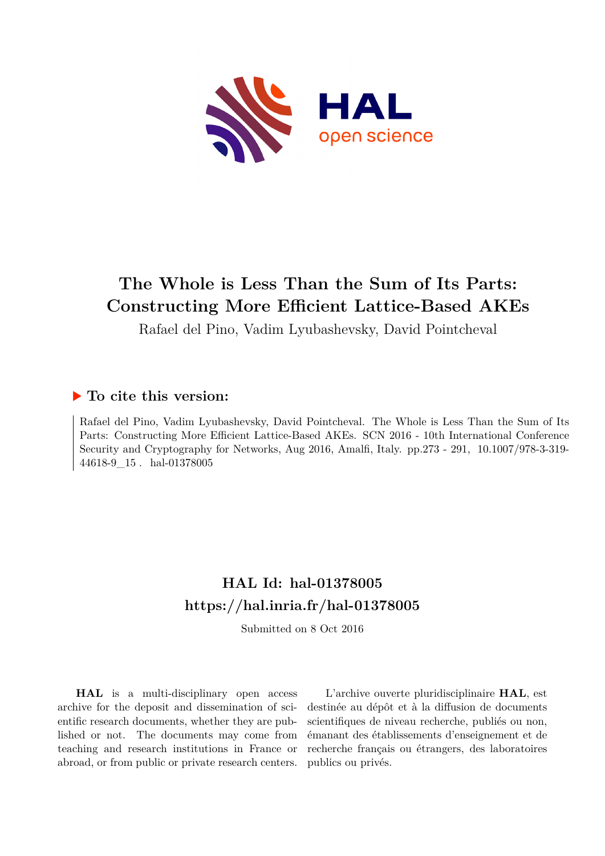

# **The Whole is Less Than the Sum of Its Parts: Constructing More Efficient Lattice-Based AKEs**

Rafael del Pino, Vadim Lyubashevsky, David Pointcheval

# **To cite this version:**

Rafael del Pino, Vadim Lyubashevsky, David Pointcheval. The Whole is Less Than the Sum of Its Parts: Constructing More Efficient Lattice-Based AKEs. SCN 2016 - 10th International Conference Security and Cryptography for Networks, Aug 2016, Amalfi, Italy. pp.273 - 291, 10.1007/978-3-319-44618-9 15. hal-01378005

# **HAL Id: hal-01378005 <https://hal.inria.fr/hal-01378005>**

Submitted on 8 Oct 2016

**HAL** is a multi-disciplinary open access archive for the deposit and dissemination of scientific research documents, whether they are published or not. The documents may come from teaching and research institutions in France or abroad, or from public or private research centers.

L'archive ouverte pluridisciplinaire **HAL**, est destinée au dépôt et à la diffusion de documents scientifiques de niveau recherche, publiés ou non, émanant des établissements d'enseignement et de recherche français ou étrangers, des laboratoires publics ou privés.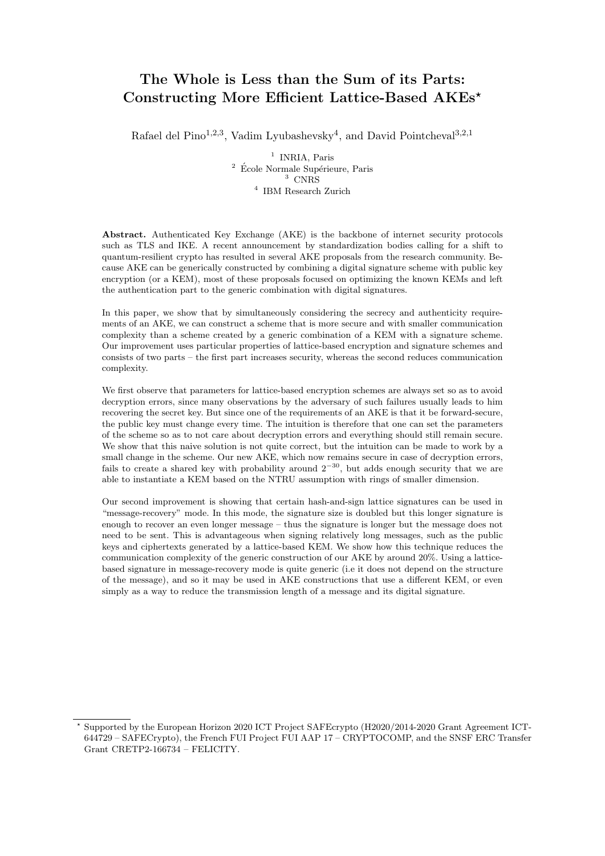# The Whole is Less than the Sum of its Parts: Constructing More Efficient Lattice-Based AKEs?

Rafael del Pino<sup>1,2,3</sup>, Vadim Lyubashevsky<sup>4</sup>, and David Pointcheval<sup>3,2,1</sup>

<sup>1</sup> INRIA, Paris INRIA, Paris  $2$  École Normale Supérieure, Paris  $3$  CNRS 4 IBM Research Zurich

Abstract. Authenticated Key Exchange (AKE) is the backbone of internet security protocols such as TLS and IKE. A recent announcement by standardization bodies calling for a shift to quantum-resilient crypto has resulted in several AKE proposals from the research community. Because AKE can be generically constructed by combining a digital signature scheme with public key encryption (or a KEM), most of these proposals focused on optimizing the known KEMs and left the authentication part to the generic combination with digital signatures.

In this paper, we show that by simultaneously considering the secrecy and authenticity requirements of an AKE, we can construct a scheme that is more secure and with smaller communication complexity than a scheme created by a generic combination of a KEM with a signature scheme. Our improvement uses particular properties of lattice-based encryption and signature schemes and consists of two parts – the first part increases security, whereas the second reduces communication complexity.

We first observe that parameters for lattice-based encryption schemes are always set so as to avoid decryption errors, since many observations by the adversary of such failures usually leads to him recovering the secret key. But since one of the requirements of an AKE is that it be forward-secure, the public key must change every time. The intuition is therefore that one can set the parameters of the scheme so as to not care about decryption errors and everything should still remain secure. We show that this naive solution is not quite correct, but the intuition can be made to work by a small change in the scheme. Our new AKE, which now remains secure in case of decryption errors, fails to create a shared key with probability around  $2^{-30}$ , but adds enough security that we are able to instantiate a KEM based on the NTRU assumption with rings of smaller dimension.

Our second improvement is showing that certain hash-and-sign lattice signatures can be used in "message-recovery" mode. In this mode, the signature size is doubled but this longer signature is enough to recover an even longer message – thus the signature is longer but the message does not need to be sent. This is advantageous when signing relatively long messages, such as the public keys and ciphertexts generated by a lattice-based KEM. We show how this technique reduces the communication complexity of the generic construction of our AKE by around 20%. Using a latticebased signature in message-recovery mode is quite generic (i.e it does not depend on the structure of the message), and so it may be used in AKE constructions that use a different KEM, or even simply as a way to reduce the transmission length of a message and its digital signature.

<sup>?</sup> Supported by the European Horizon 2020 ICT Project SAFEcrypto (H2020/2014-2020 Grant Agreement ICT-644729 – SAFECrypto), the French FUI Project FUI AAP 17 – CRYPTOCOMP, and the SNSF ERC Transfer Grant CRETP2-166734 – FELICITY.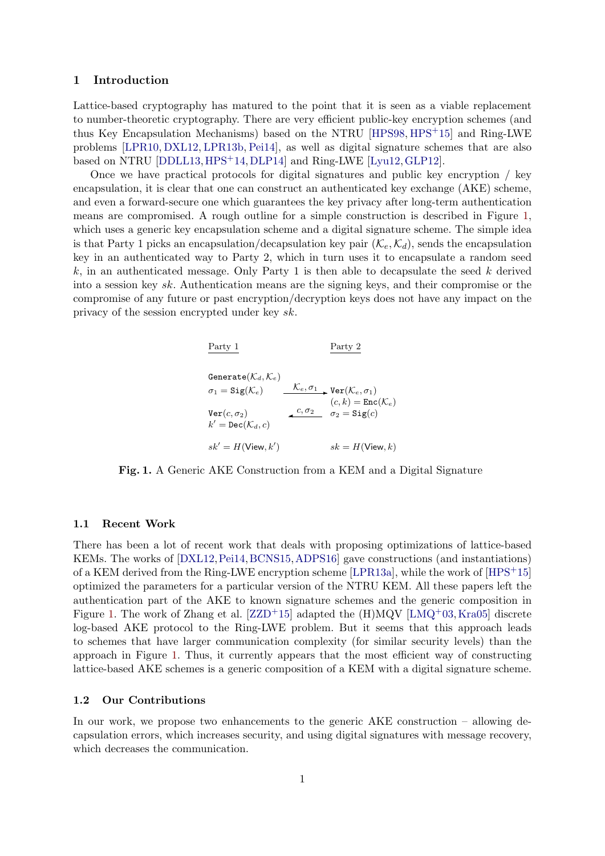### 1 Introduction

Lattice-based cryptography has matured to the point that it is seen as a viable replacement to number-theoretic cryptography. There are very efficient public-key encryption schemes (and thus Key Encapsulation Mechanisms) based on the NTRU [HPS98, HPS+15] and Ring-LWE problems [LPR10, DXL12, LPR13b, Pei14], as well as digital signature schemes that are also based on NTRU [DDLL13,HPS+14,DLP14] and Ring-LWE [Lyu12,GLP12].

Once we have practical protocols for digital signatures and public key encryption / key encapsulation, it is clear that one can construct an authenticated key exchange (AKE) scheme, and even a forward-secure one which guarantees the key privacy after long-term authentication means are compromised. A rough outline for a simple construction is described in Figure 1, which uses a generic key encapsulation scheme and a digital signature scheme. The simple idea is that Party 1 picks an encapsulation/decapsulation key pair  $(\mathcal{K}_e, \mathcal{K}_d)$ , sends the encapsulation key in an authenticated way to Party 2, which in turn uses it to encapsulate a random seed  $k$ , in an authenticated message. Only Party 1 is then able to decapsulate the seed  $k$  derived into a session key sk. Authentication means are the signing keys, and their compromise or the compromise of any future or past encryption/decryption keys does not have any impact on the privacy of the session encrypted under key sk.



Fig. 1. A Generic AKE Construction from a KEM and a Digital Signature

#### 1.1 Recent Work

There has been a lot of recent work that deals with proposing optimizations of lattice-based KEMs. The works of [DXL12, Pei14, BCNS15, ADPS16] gave constructions (and instantiations) of a KEM derived from the Ring-LWE encryption scheme [LPR13a], while the work of  $[HPS^+15]$ optimized the parameters for a particular version of the NTRU KEM. All these papers left the authentication part of the AKE to known signature schemes and the generic composition in Figure 1. The work of Zhang et al.  $[ZZD+15]$  adapted the  $(H)MQV$   $[LMQ+03, Kra05]$  discrete log-based AKE protocol to the Ring-LWE problem. But it seems that this approach leads to schemes that have larger communication complexity (for similar security levels) than the approach in Figure 1. Thus, it currently appears that the most efficient way of constructing lattice-based AKE schemes is a generic composition of a KEM with a digital signature scheme.

#### 1.2 Our Contributions

In our work, we propose two enhancements to the generic AKE construction – allowing decapsulation errors, which increases security, and using digital signatures with message recovery, which decreases the communication.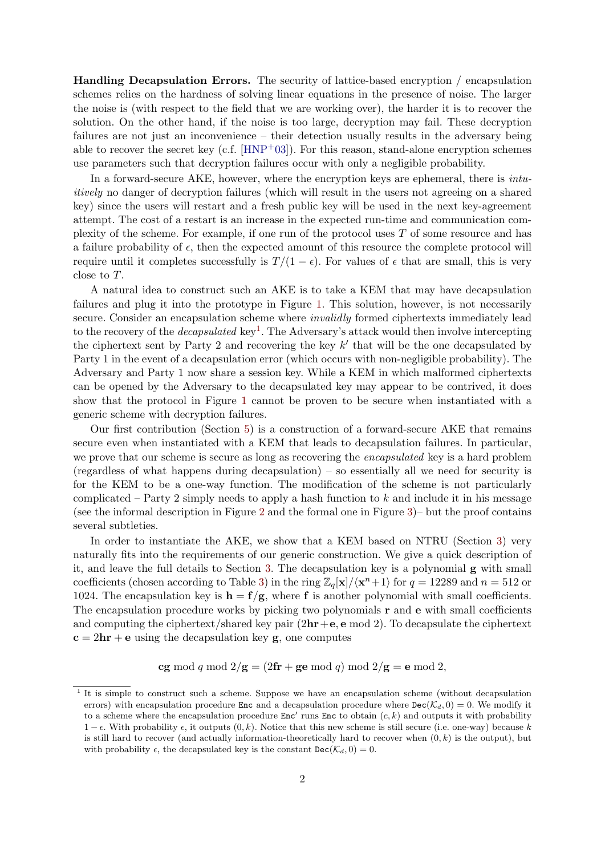Handling Decapsulation Errors. The security of lattice-based encryption / encapsulation schemes relies on the hardness of solving linear equations in the presence of noise. The larger the noise is (with respect to the field that we are working over), the harder it is to recover the solution. On the other hand, if the noise is too large, decryption may fail. These decryption failures are not just an inconvenience – their detection usually results in the adversary being able to recover the secret key (c.f.  $[HNP<sup>+</sup>03]$ ). For this reason, stand-alone encryption schemes use parameters such that decryption failures occur with only a negligible probability.

In a forward-secure AKE, however, where the encryption keys are ephemeral, there is *intu*itively no danger of decryption failures (which will result in the users not agreeing on a shared key) since the users will restart and a fresh public key will be used in the next key-agreement attempt. The cost of a restart is an increase in the expected run-time and communication complexity of the scheme. For example, if one run of the protocol uses  $T$  of some resource and has a failure probability of  $\epsilon$ , then the expected amount of this resource the complete protocol will require until it completes successfully is  $T/(1 - \epsilon)$ . For values of  $\epsilon$  that are small, this is very close to T.

A natural idea to construct such an AKE is to take a KEM that may have decapsulation failures and plug it into the prototype in Figure 1. This solution, however, is not necessarily secure. Consider an encapsulation scheme where *invalidly* formed ciphertexts immediately lead to the recovery of the *decapsulated* key<sup>1</sup>. The Adversary's attack would then involve intercepting the ciphertext sent by Party 2 and recovering the key  $k'$  that will be the one decapsulated by Party 1 in the event of a decapsulation error (which occurs with non-negligible probability). The Adversary and Party 1 now share a session key. While a KEM in which malformed ciphertexts can be opened by the Adversary to the decapsulated key may appear to be contrived, it does show that the protocol in Figure 1 cannot be proven to be secure when instantiated with a generic scheme with decryption failures.

Our first contribution (Section 5) is a construction of a forward-secure AKE that remains secure even when instantiated with a KEM that leads to decapsulation failures. In particular, we prove that our scheme is secure as long as recovering the *encapsulated* key is a hard problem (regardless of what happens during decapsulation) – so essentially all we need for security is for the KEM to be a one-way function. The modification of the scheme is not particularly complicated – Party 2 simply needs to apply a hash function to  $k$  and include it in his message (see the informal description in Figure 2 and the formal one in Figure 3)– but the proof contains several subtleties.

In order to instantiate the AKE, we show that a KEM based on NTRU (Section 3) very naturally fits into the requirements of our generic construction. We give a quick description of it, and leave the full details to Section 3. The decapsulation key is a polynomial g with small coefficients (chosen according to Table 3) in the ring  $\mathbb{Z}_q[\mathbf{x}]/\langle \mathbf{x}^n+1 \rangle$  for  $q = 12289$  and  $n = 512$  or 1024. The encapsulation key is  $\mathbf{h} = \mathbf{f}/\mathbf{g}$ , where f is another polynomial with small coefficients. The encapsulation procedure works by picking two polynomials  ${\bf r}$  and  ${\bf e}$  with small coefficients and computing the ciphertext/shared key pair  $(2hr+e, e \mod 2)$ . To decapsulate the ciphertext  $c = 2hr + e$  using the decapsulation key g, one computes

$$
cg \bmod q \bmod 2/g = (2fr + ge \bmod q) \bmod 2/g = e \bmod 2,
$$

<sup>&</sup>lt;sup>1</sup> It is simple to construct such a scheme. Suppose we have an encapsulation scheme (without decapsulation errors) with encapsulation procedure Enc and a decapsulation procedure where  $\text{Dec}(\mathcal{K}_d, 0) = 0$ . We modify it to a scheme where the encapsulation procedure  $Enc'$  runs Enc to obtain  $(c, k)$  and outputs it with probability  $1 - \epsilon$ . With probability  $\epsilon$ , it outputs  $(0, k)$ . Notice that this new scheme is still secure (i.e. one-way) because k is still hard to recover (and actually information-theoretically hard to recover when  $(0, k)$  is the output), but with probability  $\epsilon$ , the decapsulated key is the constant  $\text{Dec}(\mathcal{K}_d, 0) = 0$ .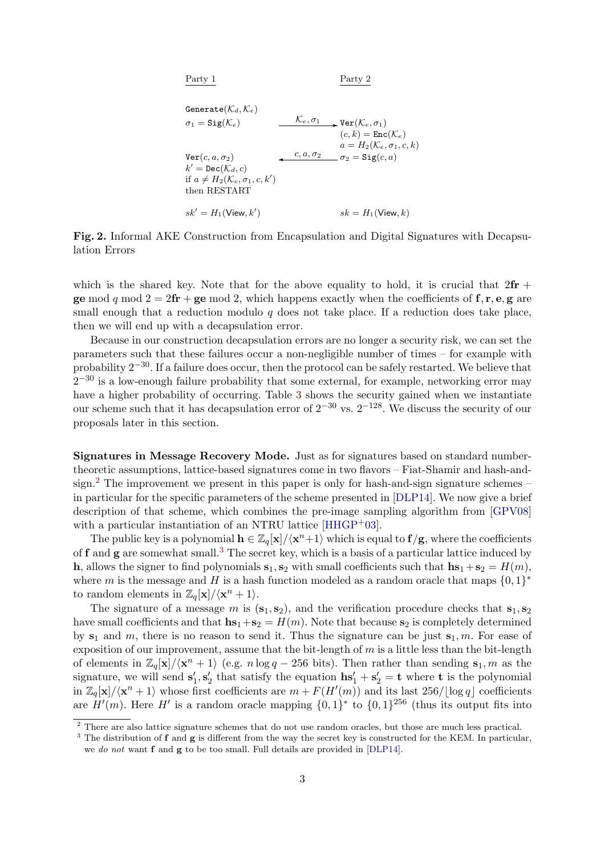$$
Party\ 1
$$

Party 2

Generate $(\mathcal{K}_d, \mathcal{K}_e)$  $\sigma_1 = \text{Sig}(\mathcal{K}_e) \qquad \qquad \frac{\mathcal{K}_e, \sigma_1}{\sqrt{\mathcal{K}_e \cdot \sigma_1}} \quad \text{Ver}(\mathcal{K}_e, \sigma_1)$  $(c, k) = \text{Enc}(\mathcal{K}_e)$  $a=H_2(\mathcal{K}_e,\sigma_1,c,k)$  $\text{Ver}(c, a, \sigma_2)$   $\qquad \qquad \frac{c, a, \sigma_2}{\sigma_2} = \text{Sig}(c, a)$  $k' = \textsf{Dec}(\mathcal{K}_d, c)$ if  $a \neq H_2(\mathcal{K}_e, \sigma_1, c, k')$ then RESTART  $sk' = H_1(\mathsf{View}, k')$  $sk = H_1(V$ iew,  $k)$ 

Fig. 2. Informal AKE Construction from Encapsulation and Digital Signatures with Decapsulation Errors

which is the shared key. Note that for the above equality to hold, it is crucial that  $2\mathbf{fr} +$ ge mod q mod  $2 = 2$ fr + ge mod 2, which happens exactly when the coefficients of f, r, e, g are small enough that a reduction modulo q does not take place. If a reduction does take place, then we will end up with a decapsulation error.

Because in our construction decapsulation errors are no longer a security risk, we can set the parameters such that these failures occur a non-negligible number of times – for example with probability 2−30. If a failure does occur, then the protocol can be safely restarted. We believe that  $2^{-30}$  is a low-enough failure probability that some external, for example, networking error may have a higher probability of occurring. Table 3 shows the security gained when we instantiate our scheme such that it has decapsulation error of  $2^{-30}$  vs.  $2^{-128}$ . We discuss the security of our proposals later in this section.

Signatures in Message Recovery Mode. Just as for signatures based on standard numbertheoretic assumptions, lattice-based signatures come in two flavors – Fiat-Shamir and hash-andsign.<sup>2</sup> The improvement we present in this paper is only for hash-and-sign signature schemes – in particular for the specific parameters of the scheme presented in [DLP14]. We now give a brief description of that scheme, which combines the pre-image sampling algorithm from [GPV08] with a particular instantiation of an NTRU lattice [HHGP+03].

The public key is a polynomial  $\mathbf{h} \in \mathbb{Z}_q[\mathbf{x}]/\langle \mathbf{x}^n+1\rangle$  which is equal to  $\mathbf{f}/\mathbf{g}$ , where the coefficients of f and g are somewhat small.<sup>3</sup> The secret key, which is a basis of a particular lattice induced by h, allows the signer to find polynomials  $s_1, s_2$  with small coefficients such that  $hs_1 + s_2 = H(m)$ , where m is the message and H is a hash function modeled as a random oracle that maps  $\{0,1\}^*$ to random elements in  $\mathbb{Z}_q[\mathbf{x}]/\langle \mathbf{x}^n + 1 \rangle$ .

The signature of a message m is  $(s_1, s_2)$ , and the verification procedure checks that  $s_1, s_2$ have small coefficients and that  $\mathbf{hs}_1+\mathbf{s}_2 = H(m)$ . Note that because  $\mathbf{s}_2$  is completely determined by  $s_1$  and m, there is no reason to send it. Thus the signature can be just  $s_1, m$ . For ease of exposition of our improvement, assume that the bit-length of  $m$  is a little less than the bit-length of elements in  $\mathbb{Z}_q[\mathbf{x}]/\langle \mathbf{x}^n + 1 \rangle$  (e.g.  $n \log q - 256$  bits). Then rather than sending  $\mathbf{s}_1, m$  as the signature, we will send  $s'_1, s'_2$  that satisfy the equation  $\mathbf{hs}'_1 + s'_2 = \mathbf{t}$  where  $\mathbf{t}$  is the polynomial in  $\mathbb{Z}_q[\mathbf{x}]/\langle \mathbf{x}^n + 1 \rangle$  whose first coefficients are  $m + F(H'(m))$  and its last 256/ $\lfloor \log q \rfloor$  coefficients are  $H'(m)$ . Here H' is a random oracle mapping  $\{0,1\}^*$  to  $\{0,1\}^{256}$  (thus its output fits into

<sup>&</sup>lt;sup>2</sup> There are also lattice signature schemes that do not use random oracles, but those are much less practical.

<sup>&</sup>lt;sup>3</sup> The distribution of f and g is different from the way the secret key is constructed for the KEM. In particular, we do not want **f** and **g** to be too small. Full details are provided in [DLP14].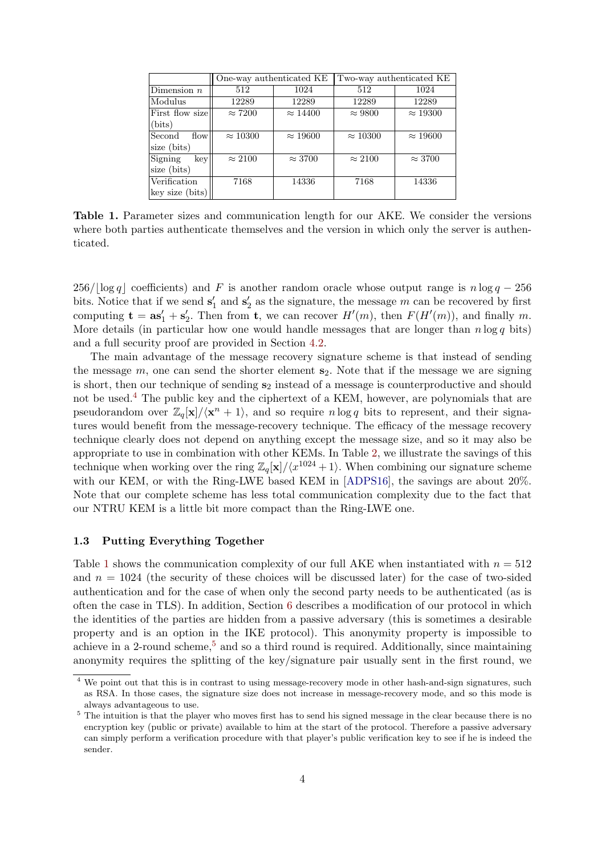|                 | One-way authenticated KE |                 | Two-way authenticated KE |                 |
|-----------------|--------------------------|-----------------|--------------------------|-----------------|
| Dimension $n$   | 512                      | 1024            | 512                      | 1024            |
| Modulus         | 12289                    | 12289           | 12289                    | 12289           |
| First flow size | $\approx 7200$           | $\approx 14400$ | $\approx 9800$           | $\approx 19300$ |
| (bits)          |                          |                 |                          |                 |
| flow<br>Second  | $\approx 10300$          | $\approx 19600$ | $\approx 10300$          | $\approx 19600$ |
| size (bits)     |                          |                 |                          |                 |
| Signing<br>kev  | $\approx 2100$           | $\approx 3700$  | $\approx 2100$           | $\approx 3700$  |
| size (bits)     |                          |                 |                          |                 |
| Verification    | 7168                     | 14336           | 7168                     | 14336           |
| key size (bits) |                          |                 |                          |                 |

Table 1. Parameter sizes and communication length for our AKE. We consider the versions where both parties authenticate themselves and the version in which only the server is authenticated.

 $256/\lfloor \log q \rfloor$  coefficients) and F is another random oracle whose output range is  $n \log q - 256$ bits. Notice that if we send  $s'_1$  and  $s'_2$  as the signature, the message m can be recovered by first computing  $\mathbf{t} = \mathbf{as}'_1 + \mathbf{s}'_2$ . Then from  $\mathbf{t}$ , we can recover  $H'(m)$ , then  $F(H'(m))$ , and finally m. More details (in particular how one would handle messages that are longer than  $n \log q$  bits) and a full security proof are provided in Section 4.2.

The main advantage of the message recovery signature scheme is that instead of sending the message  $m$ , one can send the shorter element  $s_2$ . Note that if the message we are signing is short, then our technique of sending  $s_2$  instead of a message is counterproductive and should not be used.<sup>4</sup> The public key and the ciphertext of a KEM, however, are polynomials that are pseudorandom over  $\mathbb{Z}_q[\mathbf{x}]/\langle \mathbf{x}^n + 1 \rangle$ , and so require n log q bits to represent, and their signatures would benefit from the message-recovery technique. The efficacy of the message recovery technique clearly does not depend on anything except the message size, and so it may also be appropriate to use in combination with other KEMs. In Table 2, we illustrate the savings of this technique when working over the ring  $\mathbb{Z}_q[\mathbf{x}]/\langle x^{1024} + 1 \rangle$ . When combining our signature scheme with our KEM, or with the Ring-LWE based KEM in [ADPS16], the savings are about 20%. Note that our complete scheme has less total communication complexity due to the fact that our NTRU KEM is a little bit more compact than the Ring-LWE one.

#### 1.3 Putting Everything Together

Table 1 shows the communication complexity of our full AKE when instantiated with  $n = 512$ and  $n = 1024$  (the security of these choices will be discussed later) for the case of two-sided authentication and for the case of when only the second party needs to be authenticated (as is often the case in TLS). In addition, Section 6 describes a modification of our protocol in which the identities of the parties are hidden from a passive adversary (this is sometimes a desirable property and is an option in the IKE protocol). This anonymity property is impossible to achieve in a 2-round scheme, $5$  and so a third round is required. Additionally, since maintaining anonymity requires the splitting of the key/signature pair usually sent in the first round, we

<sup>&</sup>lt;sup>4</sup> We point out that this is in contrast to using message-recovery mode in other hash-and-sign signatures, such as RSA. In those cases, the signature size does not increase in message-recovery mode, and so this mode is always advantageous to use.

<sup>&</sup>lt;sup>5</sup> The intuition is that the player who moves first has to send his signed message in the clear because there is no encryption key (public or private) available to him at the start of the protocol. Therefore a passive adversary can simply perform a verification procedure with that player's public verification key to see if he is indeed the sender.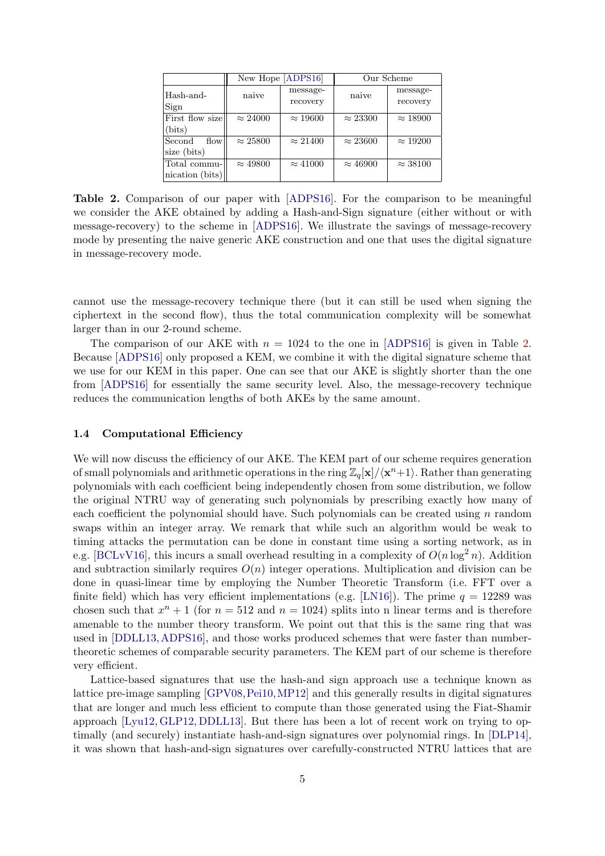|                                 | New Hope [ADPS16] |                      | Our Scheme      |                      |
|---------------------------------|-------------------|----------------------|-----------------|----------------------|
| Hash-and-<br>Sign               | naive             | message-<br>recovery | naive           | message-<br>recovery |
| First flow size<br>(bits)       | $\approx 24000$   | $\approx 19600$      | $\approx 23300$ | $\approx 18900$      |
| Second<br>flow<br>size (bits)   | $\approx 25800$   | $\approx 21400$      | $\approx 23600$ | $\approx 19200$      |
| Total commu-<br>nication (bits) | $\approx 49800$   | $\approx 41000$      | $\approx 46900$ | $\approx 38100$      |

Table 2. Comparison of our paper with [ADPS16]. For the comparison to be meaningful we consider the AKE obtained by adding a Hash-and-Sign signature (either without or with message-recovery) to the scheme in [ADPS16]. We illustrate the savings of message-recovery mode by presenting the naive generic AKE construction and one that uses the digital signature in message-recovery mode.

cannot use the message-recovery technique there (but it can still be used when signing the ciphertext in the second flow), thus the total communication complexity will be somewhat larger than in our 2-round scheme.

The comparison of our AKE with  $n = 1024$  to the one in [ADPS16] is given in Table 2. Because [ADPS16] only proposed a KEM, we combine it with the digital signature scheme that we use for our KEM in this paper. One can see that our AKE is slightly shorter than the one from [ADPS16] for essentially the same security level. Also, the message-recovery technique reduces the communication lengths of both AKEs by the same amount.

#### 1.4 Computational Efficiency

We will now discuss the efficiency of our AKE. The KEM part of our scheme requires generation of small polynomials and arithmetic operations in the ring  $\mathbb{Z}_q[\mathbf{x}]/\langle \mathbf{x}^n+1\rangle$ . Rather than generating polynomials with each coefficient being independently chosen from some distribution, we follow the original NTRU way of generating such polynomials by prescribing exactly how many of each coefficient the polynomial should have. Such polynomials can be created using n random swaps within an integer array. We remark that while such an algorithm would be weak to timing attacks the permutation can be done in constant time using a sorting network, as in e.g. [BCLvV16], this incurs a small overhead resulting in a complexity of  $O(n \log^2 n)$ . Addition and subtraction similarly requires  $O(n)$  integer operations. Multiplication and division can be done in quasi-linear time by employing the Number Theoretic Transform (i.e. FFT over a finite field) which has very efficient implementations (e.g. [LN16]). The prime  $q = 12289$  was chosen such that  $x^n + 1$  (for  $n = 512$  and  $n = 1024$ ) splits into n linear terms and is therefore amenable to the number theory transform. We point out that this is the same ring that was used in [DDLL13,ADPS16], and those works produced schemes that were faster than numbertheoretic schemes of comparable security parameters. The KEM part of our scheme is therefore very efficient.

Lattice-based signatures that use the hash-and sign approach use a technique known as lattice pre-image sampling [GPV08,Pei10,MP12] and this generally results in digital signatures that are longer and much less efficient to compute than those generated using the Fiat-Shamir approach [Lyu12, GLP12, DDLL13]. But there has been a lot of recent work on trying to optimally (and securely) instantiate hash-and-sign signatures over polynomial rings. In [DLP14], it was shown that hash-and-sign signatures over carefully-constructed NTRU lattices that are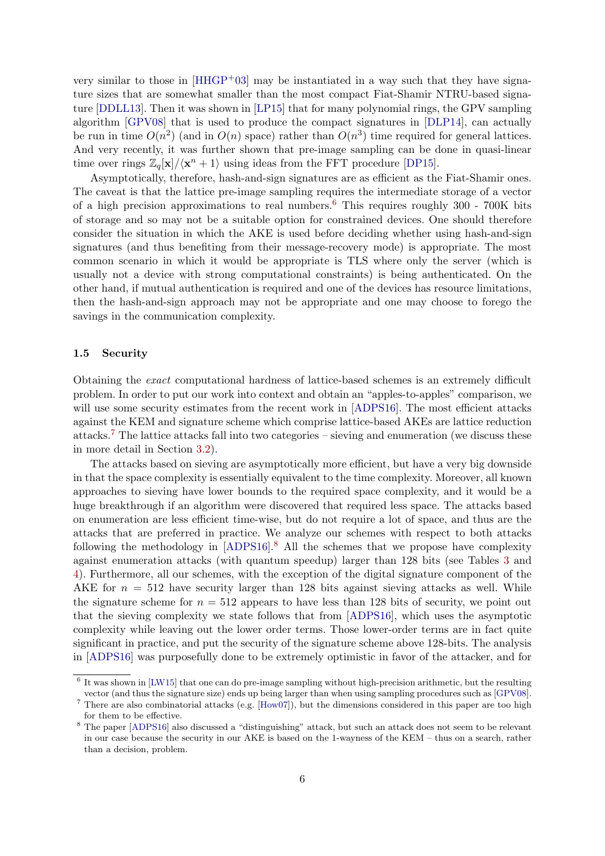very similar to those in  $[HHGP+03]$  may be instantiated in a way such that they have signature sizes that are somewhat smaller than the most compact Fiat-Shamir NTRU-based signature [DDLL13]. Then it was shown in [LP15] that for many polynomial rings, the GPV sampling algorithm [GPV08] that is used to produce the compact signatures in [DLP14], can actually be run in time  $O(n^2)$  (and in  $O(n)$  space) rather than  $O(n^3)$  time required for general lattices. And very recently, it was further shown that pre-image sampling can be done in quasi-linear time over rings  $\mathbb{Z}_q[\mathbf{x}]/\langle \mathbf{x}^n + 1 \rangle$  using ideas from the FFT procedure [DP15].

Asymptotically, therefore, hash-and-sign signatures are as efficient as the Fiat-Shamir ones. The caveat is that the lattice pre-image sampling requires the intermediate storage of a vector of a high precision approximations to real numbers.<sup>6</sup> This requires roughly  $300$  -  $700K$  bits of storage and so may not be a suitable option for constrained devices. One should therefore consider the situation in which the AKE is used before deciding whether using hash-and-sign signatures (and thus benefiting from their message-recovery mode) is appropriate. The most common scenario in which it would be appropriate is TLS where only the server (which is usually not a device with strong computational constraints) is being authenticated. On the other hand, if mutual authentication is required and one of the devices has resource limitations, then the hash-and-sign approach may not be appropriate and one may choose to forego the savings in the communication complexity.

#### 1.5 Security

Obtaining the exact computational hardness of lattice-based schemes is an extremely difficult problem. In order to put our work into context and obtain an "apples-to-apples" comparison, we will use some security estimates from the recent work in [ADPS16]. The most efficient attacks against the KEM and signature scheme which comprise lattice-based AKEs are lattice reduction attacks.7 The lattice attacks fall into two categories – sieving and enumeration (we discuss these in more detail in Section 3.2).

The attacks based on sieving are asymptotically more efficient, but have a very big downside in that the space complexity is essentially equivalent to the time complexity. Moreover, all known approaches to sieving have lower bounds to the required space complexity, and it would be a huge breakthrough if an algorithm were discovered that required less space. The attacks based on enumeration are less efficient time-wise, but do not require a lot of space, and thus are the attacks that are preferred in practice. We analyze our schemes with respect to both attacks following the methodology in  $[ADPS16]$ <sup>8</sup>. All the schemes that we propose have complexity against enumeration attacks (with quantum speedup) larger than 128 bits (see Tables 3 and 4). Furthermore, all our schemes, with the exception of the digital signature component of the AKE for  $n = 512$  have security larger than 128 bits against sieving attacks as well. While the signature scheme for  $n = 512$  appears to have less than 128 bits of security, we point out that the sieving complexity we state follows that from [ADPS16], which uses the asymptotic complexity while leaving out the lower order terms. Those lower-order terms are in fact quite significant in practice, and put the security of the signature scheme above 128-bits. The analysis in [ADPS16] was purposefully done to be extremely optimistic in favor of the attacker, and for

<sup>&</sup>lt;sup>6</sup> It was shown in [LW15] that one can do pre-image sampling without high-precision arithmetic, but the resulting vector (and thus the signature size) ends up being larger than when using sampling procedures such as [GPV08].

<sup>7</sup> There are also combinatorial attacks (e.g. [How07]), but the dimensions considered in this paper are too high for them to be effective.

<sup>8</sup> The paper [ADPS16] also discussed a "distinguishing" attack, but such an attack does not seem to be relevant in our case because the security in our AKE is based on the 1-wayness of the KEM – thus on a search, rather than a decision, problem.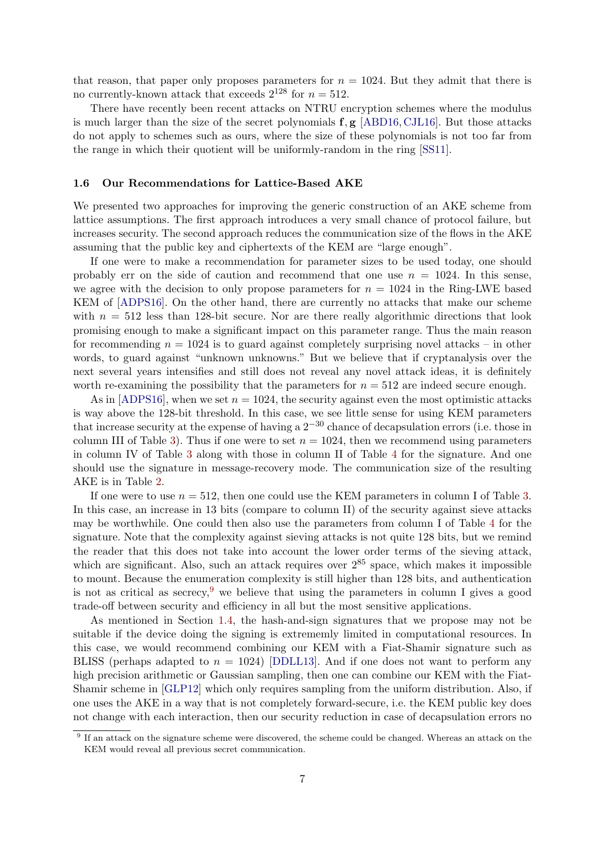that reason, that paper only proposes parameters for  $n = 1024$ . But they admit that there is no currently-known attack that exceeds  $2^{128}$  for  $n = 512$ .

There have recently been recent attacks on NTRU encryption schemes where the modulus is much larger than the size of the secret polynomials  $f, g$  [ABD16, CJL16]. But those attacks do not apply to schemes such as ours, where the size of these polynomials is not too far from the range in which their quotient will be uniformly-random in the ring [SS11].

## 1.6 Our Recommendations for Lattice-Based AKE

We presented two approaches for improving the generic construction of an AKE scheme from lattice assumptions. The first approach introduces a very small chance of protocol failure, but increases security. The second approach reduces the communication size of the flows in the AKE assuming that the public key and ciphertexts of the KEM are "large enough".

If one were to make a recommendation for parameter sizes to be used today, one should probably err on the side of caution and recommend that one use  $n = 1024$ . In this sense, we agree with the decision to only propose parameters for  $n = 1024$  in the Ring-LWE based KEM of [ADPS16]. On the other hand, there are currently no attacks that make our scheme with  $n = 512$  less than 128-bit secure. Nor are there really algorithmic directions that look promising enough to make a significant impact on this parameter range. Thus the main reason for recommending  $n = 1024$  is to guard against completely surprising novel attacks – in other words, to guard against "unknown unknowns." But we believe that if cryptanalysis over the next several years intensifies and still does not reveal any novel attack ideas, it is definitely worth re-examining the possibility that the parameters for  $n = 512$  are indeed secure enough.

As in [ADPS16], when we set  $n = 1024$ , the security against even the most optimistic attacks is way above the 128-bit threshold. In this case, we see little sense for using KEM parameters that increase security at the expense of having a  $2^{-30}$  chance of decapsulation errors (i.e. those in column III of Table 3). Thus if one were to set  $n = 1024$ , then we recommend using parameters in column IV of Table 3 along with those in column II of Table 4 for the signature. And one should use the signature in message-recovery mode. The communication size of the resulting AKE is in Table 2.

If one were to use  $n = 512$ , then one could use the KEM parameters in column I of Table 3. In this case, an increase in 13 bits (compare to column II) of the security against sieve attacks may be worthwhile. One could then also use the parameters from column I of Table 4 for the signature. Note that the complexity against sieving attacks is not quite 128 bits, but we remind the reader that this does not take into account the lower order terms of the sieving attack, which are significant. Also, such an attack requires over  $2^{85}$  space, which makes it impossible to mount. Because the enumeration complexity is still higher than 128 bits, and authentication is not as critical as secrecy,<sup>9</sup> we believe that using the parameters in column I gives a good trade-off between security and efficiency in all but the most sensitive applications.

As mentioned in Section 1.4, the hash-and-sign signatures that we propose may not be suitable if the device doing the signing is extrememly limited in computational resources. In this case, we would recommend combining our KEM with a Fiat-Shamir signature such as BLISS (perhaps adapted to  $n = 1024$ ) [DDLL13]. And if one does not want to perform any high precision arithmetic or Gaussian sampling, then one can combine our KEM with the Fiat-Shamir scheme in [GLP12] which only requires sampling from the uniform distribution. Also, if one uses the AKE in a way that is not completely forward-secure, i.e. the KEM public key does not change with each interaction, then our security reduction in case of decapsulation errors no

<sup>&</sup>lt;sup>9</sup> If an attack on the signature scheme were discovered, the scheme could be changed. Whereas an attack on the KEM would reveal all previous secret communication.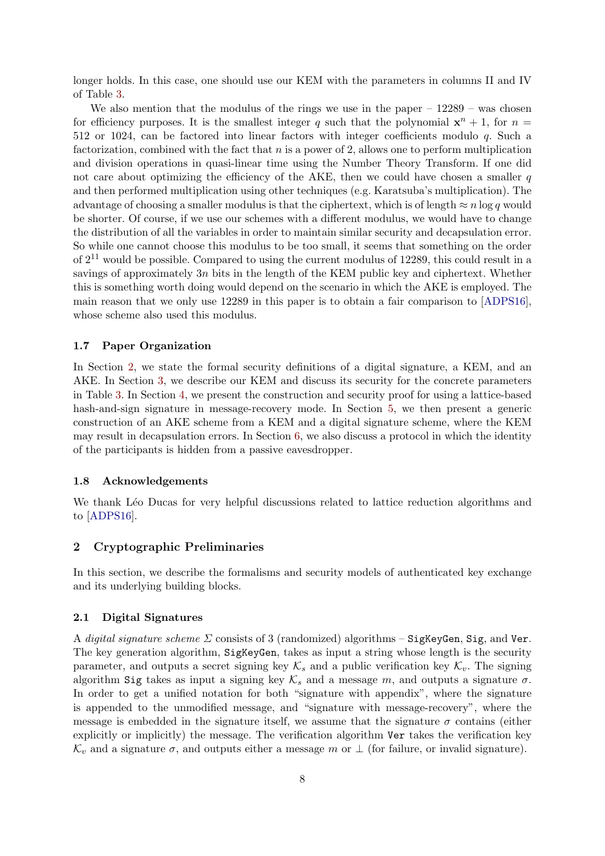longer holds. In this case, one should use our KEM with the parameters in columns II and IV of Table 3.

We also mention that the modulus of the rings we use in the paper  $-12289 -$  was chosen for efficiency purposes. It is the smallest integer q such that the polynomial  $x^n + 1$ , for  $n =$ 512 or 1024, can be factored into linear factors with integer coefficients modulo q. Such a factorization, combined with the fact that  $n$  is a power of 2, allows one to perform multiplication and division operations in quasi-linear time using the Number Theory Transform. If one did not care about optimizing the efficiency of the AKE, then we could have chosen a smaller  $q$ and then performed multiplication using other techniques (e.g. Karatsuba's multiplication). The advantage of choosing a smaller modulus is that the ciphertext, which is of length  $\approx n \log q$  would be shorter. Of course, if we use our schemes with a different modulus, we would have to change the distribution of all the variables in order to maintain similar security and decapsulation error. So while one cannot choose this modulus to be too small, it seems that something on the order of  $2^{11}$  would be possible. Compared to using the current modulus of 12289, this could result in a savings of approximately 3n bits in the length of the KEM public key and ciphertext. Whether this is something worth doing would depend on the scenario in which the AKE is employed. The main reason that we only use 12289 in this paper is to obtain a fair comparison to [ADPS16], whose scheme also used this modulus.

#### 1.7 Paper Organization

In Section 2, we state the formal security definitions of a digital signature, a KEM, and an AKE. In Section 3, we describe our KEM and discuss its security for the concrete parameters in Table 3. In Section 4, we present the construction and security proof for using a lattice-based hash-and-sign signature in message-recovery mode. In Section 5, we then present a generic construction of an AKE scheme from a KEM and a digital signature scheme, where the KEM may result in decapsulation errors. In Section 6, we also discuss a protocol in which the identity of the participants is hidden from a passive eavesdropper.

#### 1.8 Acknowledgements

We thank L<sub>i</sub>eo Ducas for very helpful discussions related to lattice reduction algorithms and to [ADPS16].

#### 2 Cryptographic Preliminaries

In this section, we describe the formalisms and security models of authenticated key exchange and its underlying building blocks.

#### 2.1 Digital Signatures

A digital signature scheme  $\Sigma$  consists of 3 (randomized) algorithms – SigKeyGen, Sig, and Ver. The key generation algorithm, SigKeyGen, takes as input a string whose length is the security parameter, and outputs a secret signing key  $\mathcal{K}_s$  and a public verification key  $\mathcal{K}_v$ . The signing algorithm Sig takes as input a signing key  $\mathcal{K}_s$  and a message m, and outputs a signature  $\sigma$ . In order to get a unified notation for both "signature with appendix", where the signature is appended to the unmodified message, and "signature with message-recovery", where the message is embedded in the signature itself, we assume that the signature  $\sigma$  contains (either explicitly or implicitly) the message. The verification algorithm Ver takes the verification key  $\mathcal{K}_v$  and a signature  $\sigma$ , and outputs either a message m or  $\perp$  (for failure, or invalid signature).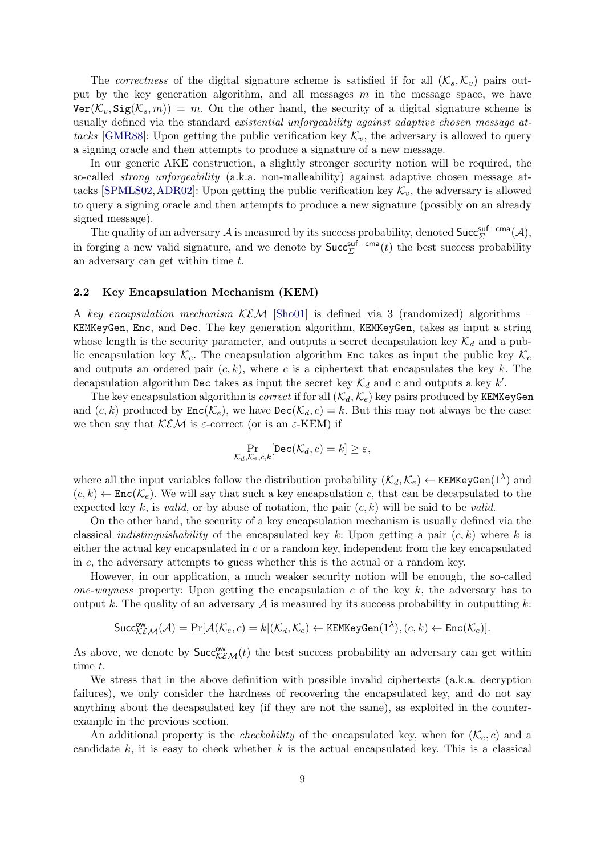The correctness of the digital signature scheme is satisfied if for all  $(\mathcal{K}_s, \mathcal{K}_v)$  pairs output by the key generation algorithm, and all messages  $m$  in the message space, we have  $\text{Ver}(\mathcal{K}_v, \text{Sig}(\mathcal{K}_s, m)) = m$ . On the other hand, the security of a digital signature scheme is usually defined via the standard existential unforgeability against adaptive chosen message attacks [GMR88]: Upon getting the public verification key  $\mathcal{K}_v$ , the adversary is allowed to query a signing oracle and then attempts to produce a signature of a new message.

In our generic AKE construction, a slightly stronger security notion will be required, the so-called *strong unforgeability* (a.k.a. non-malleability) against adaptive chosen message attacks [SPMLS02, ADR02]: Upon getting the public verification key  $\mathcal{K}_v$ , the adversary is allowed to query a signing oracle and then attempts to produce a new signature (possibly on an already signed message).

The quality of an adversary  $\mathcal A$  is measured by its success probability, denoted  $\mathsf{Succ}^{\mathsf{suf-cma}}_{\Sigma}(\mathcal A),$ in forging a new valid signature, and we denote by  $\mathsf{Succ}^{\mathsf{suf-cma}}_{\Sigma}(t)$  the best success probability an adversary can get within time t.

### 2.2 Key Encapsulation Mechanism (KEM)

A key encapsulation mechanism  $KEM$  [Sho01] is defined via 3 (randomized) algorithms – KEMKeyGen, Enc, and Dec. The key generation algorithm, KEMKeyGen, takes as input a string whose length is the security parameter, and outputs a secret decapsulation key  $\mathcal{K}_d$  and a public encapsulation key  $\mathcal{K}_e$ . The encapsulation algorithm Enc takes as input the public key  $\mathcal{K}_e$ and outputs an ordered pair  $(c, k)$ , where c is a ciphertext that encapsulates the key k. The decapsulation algorithm Dec takes as input the secret key  $\mathcal{K}_d$  and c and outputs a key  $k'$ .

The key encapsulation algorithm is *correct* if for all  $(\mathcal{K}_d, \mathcal{K}_e)$  key pairs produced by KEMKeyGen and  $(c, k)$  produced by  $Enc(\mathcal{K}_e)$ , we have  $Dec(\mathcal{K}_d, c) = k$ . But this may not always be the case: we then say that  $KEM$  is  $\varepsilon$ -correct (or is an  $\varepsilon$ -KEM) if

$$
\Pr_{\mathcal{K}_d,\mathcal{K}_e,c,k}[\text{Dec}(\mathcal{K}_d,c) = k] \geq \varepsilon,
$$

where all the input variables follow the distribution probability  $(\mathcal{K}_d, \mathcal{K}_e) \leftarrow$  KEMKeyGen $(1^{\lambda})$  and  $(c, k) \leftarrow \text{Enc}(\mathcal{K}_e)$ . We will say that such a key encapsulation c, that can be decapsulated to the expected key k, is valid, or by abuse of notation, the pair  $(c, k)$  will be said to be valid.

On the other hand, the security of a key encapsulation mechanism is usually defined via the classical *indistinguishability* of the encapsulated key k: Upon getting a pair  $(c, k)$  where k is either the actual key encapsulated in  $c$  or a random key, independent from the key encapsulated in  $c$ , the adversary attempts to guess whether this is the actual or a random key.

However, in our application, a much weaker security notion will be enough, the so-called one-wayness property: Upon getting the encapsulation c of the key  $k$ , the adversary has to output k. The quality of an adversary  $A$  is measured by its success probability in outputting k:

$$
\mathsf{Succ}^{\mathsf{ow}}_{\mathcal{KEM}}(\mathcal{A}) = \Pr[\mathcal{A}(\mathcal{K}_e,c) = k | (\mathcal{K}_d,\mathcal{K}_e) \leftarrow \mathsf{KEMKeyGen}(1^\lambda), (c,k) \leftarrow \mathsf{Enc}(\mathcal{K}_e)].
$$

As above, we denote by  $\text{Succ}_{\mathcal{KEM}}^{\text{ow}}(t)$  the best success probability an adversary can get within time t.

We stress that in the above definition with possible invalid ciphertexts (a.k.a. decryption failures), we only consider the hardness of recovering the encapsulated key, and do not say anything about the decapsulated key (if they are not the same), as exploited in the counterexample in the previous section.

An additional property is the *checkability* of the encapsulated key, when for  $(\mathcal{K}_e, c)$  and a candidate k, it is easy to check whether k is the actual encapsulated key. This is a classical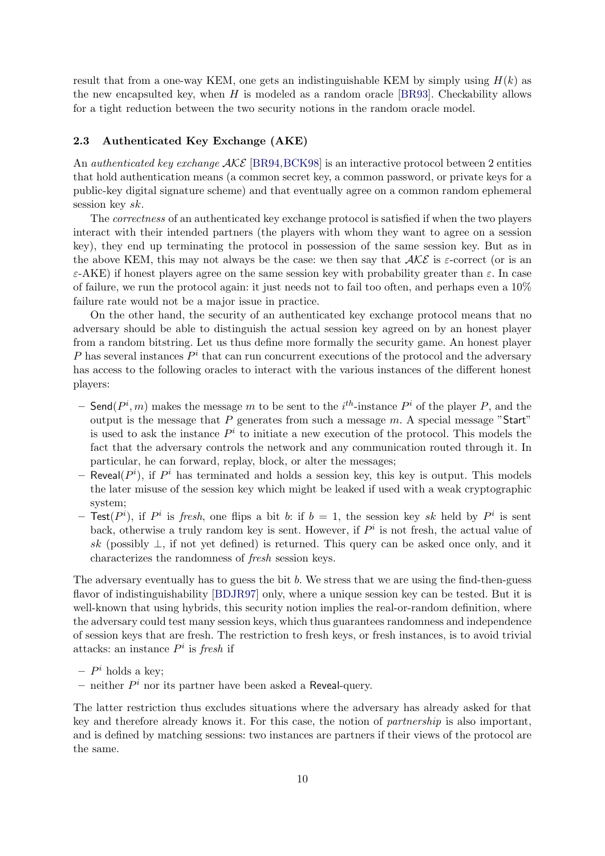result that from a one-way KEM, one gets an indistinguishable KEM by simply using  $H(k)$  as the new encapsulted key, when  $H$  is modeled as a random oracle [BR93]. Checkability allows for a tight reduction between the two security notions in the random oracle model.

#### 2.3 Authenticated Key Exchange (AKE)

An *authenticated key exchange*  $AK\mathcal{E}$  [BR94, BCK98] is an interactive protocol between 2 entities that hold authentication means (a common secret key, a common password, or private keys for a public-key digital signature scheme) and that eventually agree on a common random ephemeral session key sk.

The correctness of an authenticated key exchange protocol is satisfied if when the two players interact with their intended partners (the players with whom they want to agree on a session key), they end up terminating the protocol in possession of the same session key. But as in the above KEM, this may not always be the case: we then say that  $\mathcal{AKE}$  is  $\varepsilon$ -correct (or is an  $\varepsilon$ -AKE) if honest players agree on the same session key with probability greater than  $\varepsilon$ . In case of failure, we run the protocol again: it just needs not to fail too often, and perhaps even a 10% failure rate would not be a major issue in practice.

On the other hand, the security of an authenticated key exchange protocol means that no adversary should be able to distinguish the actual session key agreed on by an honest player from a random bitstring. Let us thus define more formally the security game. An honest player P has several instances  $P<sup>i</sup>$  that can run concurrent executions of the protocol and the adversary has access to the following oracles to interact with the various instances of the different honest players:

- Send $(P^i, m)$  makes the message m to be sent to the i<sup>th</sup>-instance  $P^i$  of the player P, and the output is the message that  $P$  generates from such a message  $m$ . A special message "Start" is used to ask the instance  $P^i$  to initiate a new execution of the protocol. This models the fact that the adversary controls the network and any communication routed through it. In particular, he can forward, replay, block, or alter the messages;
- Reveal( $P<sup>i</sup>$ ), if  $P<sup>i</sup>$  has terminated and holds a session key, this key is output. This models the later misuse of the session key which might be leaked if used with a weak cryptographic system;
- Test( $P^i$ ), if  $P^i$  is fresh, one flips a bit b: if  $b = 1$ , the session key sk held by  $P^i$  is sent back, otherwise a truly random key is sent. However, if  $P<sup>i</sup>$  is not fresh, the actual value of sk (possibly  $\perp$ , if not yet defined) is returned. This query can be asked once only, and it characterizes the randomness of fresh session keys.

The adversary eventually has to guess the bit  $b$ . We stress that we are using the find-then-guess flavor of indistinguishability [BDJR97] only, where a unique session key can be tested. But it is well-known that using hybrids, this security notion implies the real-or-random definition, where the adversary could test many session keys, which thus guarantees randomness and independence of session keys that are fresh. The restriction to fresh keys, or fresh instances, is to avoid trivial attacks: an instance  $P^i$  is fresh if

- $P^i$  holds a key;
- neither  $P<sup>i</sup>$  nor its partner have been asked a Reveal-query.

The latter restriction thus excludes situations where the adversary has already asked for that key and therefore already knows it. For this case, the notion of partnership is also important, and is defined by matching sessions: two instances are partners if their views of the protocol are the same.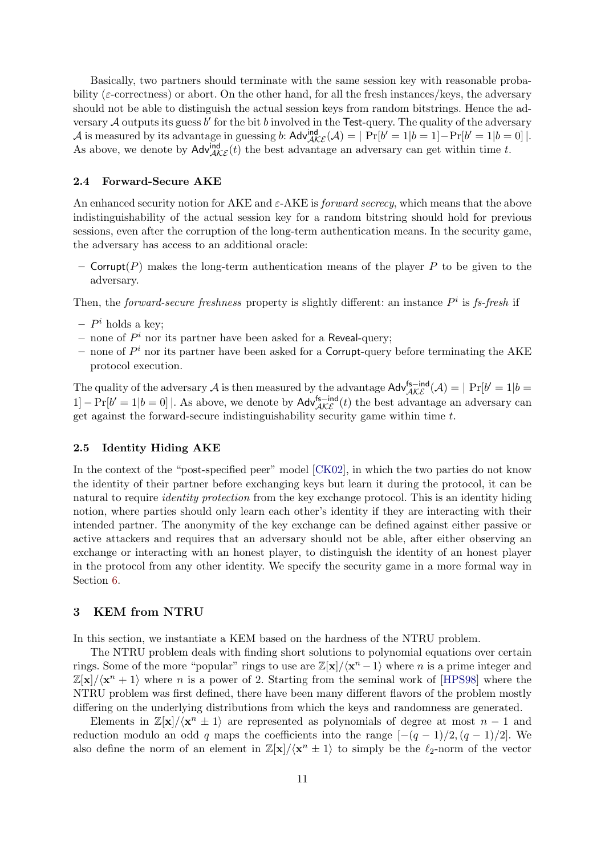Basically, two partners should terminate with the same session key with reasonable probability ( $\varepsilon$ -correctness) or abort. On the other hand, for all the fresh instances/keys, the adversary should not be able to distinguish the actual session keys from random bitstrings. Hence the adversary  $A$  outputs its guess  $b'$  for the bit  $b$  involved in the Test-query. The quality of the adversary A is measured by its advantage in guessing b:  $\text{Adv}_{\mathcal{AKE}}^{\text{ind}}(\mathcal{A}) = |\Pr[b' = 1|b = 1] - \Pr[b' = 1|b = 0]|.$ As above, we denote by  $\mathsf{Adv}^{\text{ind}}_{\mathcal{AKE}}(t)$  the best advantage an adversary can get within time t.

#### 2.4 Forward-Secure AKE

An enhanced security notion for AKE and  $\varepsilon$ -AKE is *forward secrecy*, which means that the above indistinguishability of the actual session key for a random bitstring should hold for previous sessions, even after the corruption of the long-term authentication means. In the security game, the adversary has access to an additional oracle:

– Corrupt(P) makes the long-term authentication means of the player P to be given to the adversary.

Then, the forward-secure freshness property is slightly different: an instance  $P^i$  is fs-fresh if

- $P^i$  holds a key;
- none of  $P^i$  nor its partner have been asked for a Reveal-query;
- none of  $P^i$  nor its partner have been asked for a Corrupt-query before terminating the AKE protocol execution.

The quality of the adversary A is then measured by the advantage  $\text{Adv}_{\mathcal{AKE}}^{\text{fs-ind}}(\mathcal{A}) = |\Pr[b' = 1|b = 1]$ 1] –  $Pr[b' = 1|b = 0]$ . As above, we denote by  $Adv_{\mathcal{AKE}}^{\mathsf{fs-ind}}(t)$  the best advantage an adversary can get against the forward-secure indistinguishability security game within time t.

#### 2.5 Identity Hiding AKE

In the context of the "post-specified peer" model [CK02], in which the two parties do not know the identity of their partner before exchanging keys but learn it during the protocol, it can be natural to require *identity protection* from the key exchange protocol. This is an identity hiding notion, where parties should only learn each other's identity if they are interacting with their intended partner. The anonymity of the key exchange can be defined against either passive or active attackers and requires that an adversary should not be able, after either observing an exchange or interacting with an honest player, to distinguish the identity of an honest player in the protocol from any other identity. We specify the security game in a more formal way in Section 6.

## 3 KEM from NTRU

In this section, we instantiate a KEM based on the hardness of the NTRU problem.

The NTRU problem deals with finding short solutions to polynomial equations over certain rings. Some of the more "popular" rings to use are  $\mathbb{Z}[\mathbf{x}]/\langle \mathbf{x}^n - 1 \rangle$  where n is a prime integer and  $\mathbb{Z}[\mathbf{x}]/\langle \mathbf{x}^n + 1 \rangle$  where n is a power of 2. Starting from the seminal work of [HPS98] where the NTRU problem was first defined, there have been many different flavors of the problem mostly differing on the underlying distributions from which the keys and randomness are generated.

Elements in  $\mathbb{Z}[\mathbf{x}]/\langle \mathbf{x}^n \pm 1 \rangle$  are represented as polynomials of degree at most  $n-1$  and reduction modulo an odd q maps the coefficients into the range  $[-(q-1)/2,(q-1)/2]$ . We also define the norm of an element in  $\mathbb{Z}[\mathbf{x}]/\langle \mathbf{x}^n \pm 1 \rangle$  to simply be the  $\ell_2$ -norm of the vector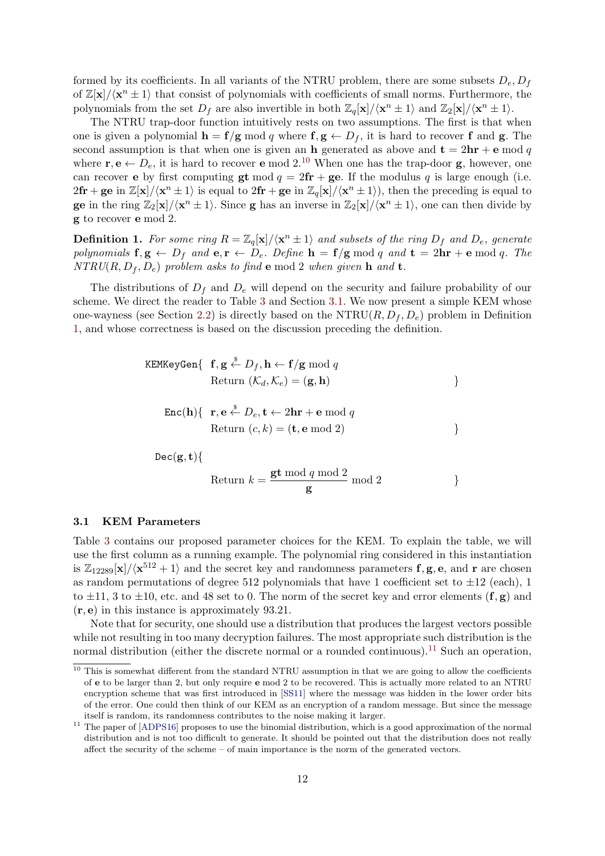formed by its coefficients. In all variants of the NTRU problem, there are some subsets  $D_e, D_f$ of  $\mathbb{Z}[\mathbf{x}]/\langle \mathbf{x}^n \pm 1 \rangle$  that consist of polynomials with coefficients of small norms. Furthermore, the polynomials from the set  $D_f$  are also invertible in both  $\mathbb{Z}_q[\mathbf{x}]/\langle \mathbf{x}^n \pm 1 \rangle$  and  $\mathbb{Z}_2[\mathbf{x}]/\langle \mathbf{x}^n \pm 1 \rangle$ .

The NTRU trap-door function intuitively rests on two assumptions. The first is that when one is given a polynomial  $h = f/g \mod q$  where  $f, g \leftarrow D_f$ , it is hard to recover f and g. The second assumption is that when one is given an **h** generated as above and  $t = 2hr + e \mod q$ where  $\mathbf{r}, \mathbf{e} \leftarrow D_e$ , it is hard to recover **e** mod 2.<sup>10</sup> When one has the trap-door **g**, however, one can recover e by first computing  $gt \mod q = 2$ fr + ge. If the modulus q is large enough (i.e.  $2\mathbf{fr} + \mathbf{g}\mathbf{e}$  in  $\mathbb{Z}[\mathbf{x}]/\langle \mathbf{x}^n \pm 1 \rangle$  is equal to  $2\mathbf{fr} + \mathbf{g}\mathbf{e}$  in  $\mathbb{Z}_q[\mathbf{x}]/\langle \mathbf{x}^n \pm 1 \rangle$ , then the preceding is equal to ge in the ring  $\mathbb{Z}_2[\mathbf{x}]/\langle \mathbf{x}^n \pm 1 \rangle$ . Since g has an inverse in  $\mathbb{Z}_2[\mathbf{x}]/\langle \mathbf{x}^n \pm 1 \rangle$ , one can then divide by g to recover e mod 2.

**Definition 1.** For some ring  $R = \mathbb{Z}_q[\mathbf{x}]/\langle \mathbf{x}^n \pm 1 \rangle$  and subsets of the ring  $D_f$  and  $D_e$ , generate polynomials  $f, g \leftarrow D_f$  and  $e, r \leftarrow D_e$ . Define  $h = f/g \mod q$  and  $t = 2hr + e \mod q$ . The  $NTRU(R, D_f, D_e)$  problem asks to find **e** mod 2 when given **h** and **t**.

The distributions of  $D_f$  and  $D_e$  will depend on the security and failure probability of our scheme. We direct the reader to Table 3 and Section 3.1. We now present a simple KEM whose one-wayness (see Section 2.2) is directly based on the  $NTRU(R, D_f, D_e)$  problem in Definition 1, and whose correctness is based on the discussion preceding the definition.

$$
KEMKeyGen{ f, g \stackrel{\$} \leftarrow D_f, h \leftarrow f/g \mod q
$$
  
Return  $(K_d, K_e) = (g, h)$  }

$$
\begin{aligned}\n\text{Enc}(\mathbf{h})\{ \quad \mathbf{r}, \mathbf{e} \stackrel{\$} \leftarrow D_e, \mathbf{t} \leftarrow 2\mathbf{h}\mathbf{r} + \mathbf{e} \bmod q \\
\text{Return } (c, k) = (\mathbf{t}, \mathbf{e} \bmod 2)\n\end{aligned}\n\}
$$

$$
\texttt{Dec}(\mathbf{g}, \mathbf{t}) \{
$$

$$
Return k = \frac{gt \mod q \mod 2}{g} \mod 2
$$

#### 3.1 KEM Parameters

Table 3 contains our proposed parameter choices for the KEM. To explain the table, we will use the first column as a running example. The polynomial ring considered in this instantiation is  $\mathbb{Z}_{12289}[\mathbf{x}]/\langle \mathbf{x}^{512} + 1 \rangle$  and the secret key and randomness parameters  $\mathbf{f}, \mathbf{g}, \mathbf{e}$ , and r are chosen as random permutations of degree 512 polynomials that have 1 coefficient set to  $\pm 12$  (each), 1 to  $\pm 11$ , 3 to  $\pm 10$ , etc. and 48 set to 0. The norm of the secret key and error elements  $(f, g)$  and (r, e) in this instance is approximately 93.21.

Note that for security, one should use a distribution that produces the largest vectors possible while not resulting in too many decryption failures. The most appropriate such distribution is the normal distribution (either the discrete normal or a rounded continuous).<sup>11</sup> Such an operation,

<sup>&</sup>lt;sup>10</sup> This is somewhat different from the standard NTRU assumption in that we are going to allow the coefficients of e to be larger than 2, but only require e mod 2 to be recovered. This is actually more related to an NTRU encryption scheme that was first introduced in [SS11] where the message was hidden in the lower order bits of the error. One could then think of our KEM as an encryption of a random message. But since the message itself is random, its randomness contributes to the noise making it larger.

<sup>&</sup>lt;sup>11</sup> The paper of [ADPS16] proposes to use the binomial distribution, which is a good approximation of the normal distribution and is not too difficult to generate. It should be pointed out that the distribution does not really affect the security of the scheme – of main importance is the norm of the generated vectors.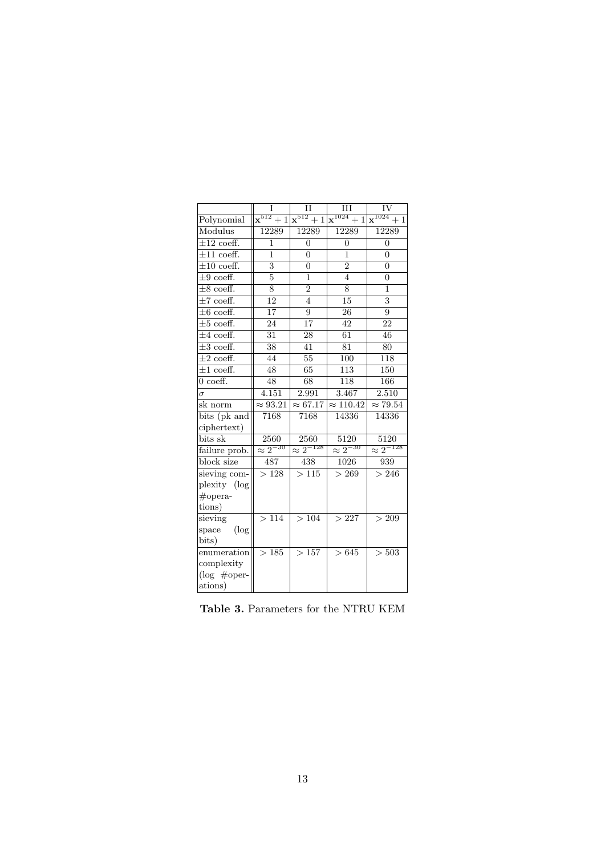|                  | T                 | П                  | $\overline{\rm III}$                                                                       | <b>IV</b>          |
|------------------|-------------------|--------------------|--------------------------------------------------------------------------------------------|--------------------|
| Polynomial       |                   |                    | $\overline{\mathbf{x}^{512}+1} \mathbf{x}^{512}+1 \mathbf{x}^{1024}+1 \mathbf{x}^{1024}+1$ |                    |
| Modulus          | 12289             | 12289              | 12289                                                                                      | 12289              |
| $\pm 12$ coeff.  | 1                 | $\overline{0}$     | $\overline{0}$                                                                             | $\theta$           |
| $\pm 11$ coeff.  | 1                 | $\overline{0}$     | 1                                                                                          | $\overline{0}$     |
| $\pm 10$ coeff.  | $\overline{3}$    | $\overline{0}$     | $\overline{2}$                                                                             | $\theta$           |
| $\pm 9$ coeff.   | 5                 | $\mathbf{1}$       | $\overline{4}$                                                                             | $\theta$           |
| $\pm 8$ coeff.   | 8                 | $\overline{2}$     | 8                                                                                          | 1                  |
| $\pm 7$ coeff.   | $\overline{12}$   | $\overline{4}$     | 15                                                                                         | $\overline{3}$     |
| $\pm 6$ coeff.   | 17                | 9                  | 26                                                                                         | 9                  |
| $\pm 5$ coeff.   | 24                | 17                 | 42                                                                                         | 22                 |
| $\pm$ 4 coeff.   | 31                | 28                 | 61                                                                                         | 46                 |
| $\pm 3$ coeff.   | $\overline{38}$   | 41                 | 81                                                                                         | 80                 |
| $\pm 2$ coeff.   | 44                | 55                 | 100                                                                                        | 118                |
| $\pm 1$ coeff.   | 48                | 65                 | 113                                                                                        | 150                |
| $0$ coeff.       | 48                | 68                 | 118                                                                                        | 166                |
| $\sigma$         | 4.151             | 2.991              | 3.467                                                                                      | 2.510              |
| sk norm          | $\approx 93.21$   | $\approx 67.17$    | $\approx 110.42$                                                                           | $\approx 79.54$    |
| bits (pk and     | 7168              | 7168               | 14336                                                                                      | 14336              |
| ciphertext)      |                   |                    |                                                                                            |                    |
| bits sk          | 2560              | 2560               | 5120                                                                                       | 5120               |
| failure prob.    | $\approx 2^{-30}$ | $\approx 2^{-128}$ | $\approx 2^{-30}$                                                                          | $\approx 2^{-128}$ |
| block size       | 487               | 438                | 1026                                                                                       | 939                |
| sieving com-     | >128              | >115               | > 269                                                                                      | > 246              |
| plexity (log     |                   |                    |                                                                                            |                    |
| #opera-          |                   |                    |                                                                                            |                    |
| tions)           |                   |                    |                                                                                            |                    |
| sieving          | >114              | >104               | >227                                                                                       | > 209              |
| space<br>$(\log$ |                   |                    |                                                                                            |                    |
| bits)            |                   |                    |                                                                                            |                    |
| enumeration      | >185              | >157               | > 645                                                                                      | > 503              |
| complexity       |                   |                    |                                                                                            |                    |
| $(\log \#oper-$  |                   |                    |                                                                                            |                    |
| ations)          |                   |                    |                                                                                            |                    |

Table 3. Parameters for the NTRU KEM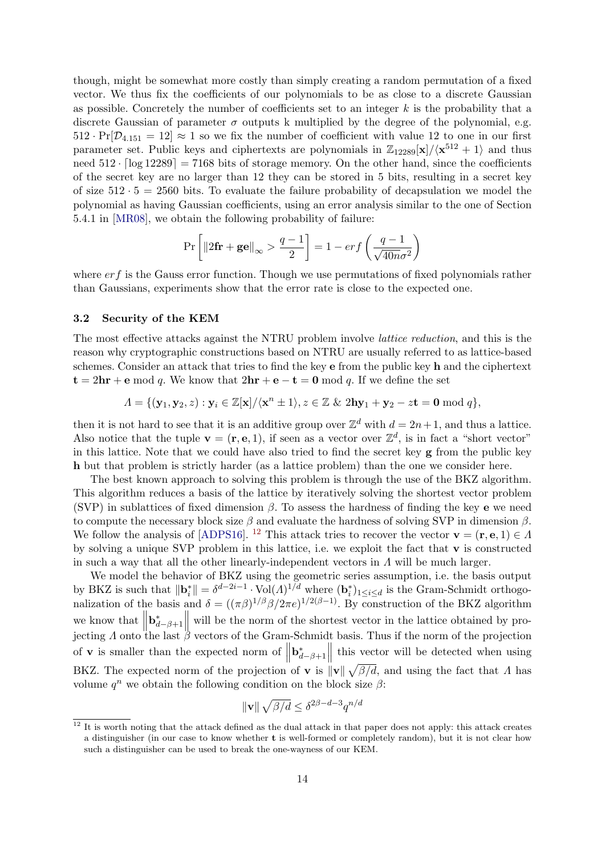though, might be somewhat more costly than simply creating a random permutation of a fixed vector. We thus fix the coefficients of our polynomials to be as close to a discrete Gaussian as possible. Concretely the number of coefficients set to an integer  $k$  is the probability that a discrete Gaussian of parameter  $\sigma$  outputs k multiplied by the degree of the polynomial, e.g.  $512 \cdot Pr[D_{4.151} = 12] \approx 1$  so we fix the number of coefficient with value 12 to one in our first parameter set. Public keys and ciphertexts are polynomials in  $\mathbb{Z}_{12289}[\mathbf{x}]/\langle \mathbf{x}^{512} + 1 \rangle$  and thus need  $512 \cdot \lfloor \log 12289 \rfloor = 7168$  bits of storage memory. On the other hand, since the coefficients of the secret key are no larger than 12 they can be stored in 5 bits, resulting in a secret key of size  $512 \cdot 5 = 2560$  bits. To evaluate the failure probability of decapsulation we model the polynomial as having Gaussian coefficients, using an error analysis similar to the one of Section 5.4.1 in [MR08], we obtain the following probability of failure:

$$
\Pr\left[\left\|2\mathbf{fr} + \mathbf{ge}\right\|_{\infty} > \frac{q-1}{2}\right] = 1 - erf\left(\frac{q-1}{\sqrt{40n\sigma^2}}\right)
$$

where  $erf$  is the Gauss error function. Though we use permutations of fixed polynomials rather than Gaussians, experiments show that the error rate is close to the expected one.

#### 3.2 Security of the KEM

The most effective attacks against the NTRU problem involve lattice reduction, and this is the reason why cryptographic constructions based on NTRU are usually referred to as lattice-based schemes. Consider an attack that tries to find the key e from the public key h and the ciphertext  $t = 2hr + e \mod q$ . We know that  $2hr + e - t = 0 \mod q$ . If we define the set

$$
\Lambda = \{(\mathbf{y}_1, \mathbf{y}_2, z) : \mathbf{y}_i \in \mathbb{Z}[\mathbf{x}]/\langle \mathbf{x}^n \pm 1 \rangle, z \in \mathbb{Z} \& 2\mathbf{hy}_1 + \mathbf{y}_2 - z\mathbf{t} = \mathbf{0} \bmod q\},
$$

then it is not hard to see that it is an additive group over  $\mathbb{Z}^d$  with  $d = 2n + 1$ , and thus a lattice. Also notice that the tuple  $\mathbf{v} = (\mathbf{r}, \mathbf{e}, 1)$ , if seen as a vector over  $\mathbb{Z}^d$ , is in fact a "short vector" in this lattice. Note that we could have also tried to find the secret key g from the public key h but that problem is strictly harder (as a lattice problem) than the one we consider here.

The best known approach to solving this problem is through the use of the BKZ algorithm. This algorithm reduces a basis of the lattice by iteratively solving the shortest vector problem (SVP) in sublattices of fixed dimension  $\beta$ . To assess the hardness of finding the key e we need to compute the necessary block size  $\beta$  and evaluate the hardness of solving SVP in dimension  $\beta$ . We follow the analysis of [ADPS16]. <sup>12</sup> This attack tries to recover the vector  $\mathbf{v} = (\mathbf{r}, \mathbf{e}, 1) \in \Lambda$ by solving a unique SVP problem in this lattice, i.e. we exploit the fact that v is constructed in such a way that all the other linearly-independent vectors in  $\Lambda$  will be much larger.

We model the behavior of BKZ using the geometric series assumption, i.e. the basis output by BKZ is such that  $\|\mathbf{b}_i^*\| = \delta^{d-2i-1} \cdot \text{Vol}(\Lambda)^{1/d}$  where  $(\mathbf{b}_i^*)_{1 \leq i \leq d}$  is the Gram-Schmidt orthogonalization of the basis and  $\delta = ((\pi \beta)^{1/\beta} \beta / 2\pi e)^{1/2(\beta - 1)}$ . By construction of the BKZ algorithm we know that  $\parallel$ we know that  $\left\|\mathbf{b}_{d-\beta+1}^*\right\|$  will be the norm of the shortest vector in the lattice obtained by projecting  $\Lambda$  onto the last  $\beta$  vectors of the Gram-Schmidt basis. Thus if the norm of the projection of **v** is smaller than the expected norm of  $\parallel$  $\mathbf{b}_{d-\beta+1}^*$  this vector will be detected when using BKZ. The expected norm of the projection of **v** is  $\|\mathbf{v}\| \sqrt{\beta/d}$ , and using the fact that  $\Lambda$  has volume  $q^n$  we obtain the following condition on the block size  $\beta$ :

$$
\|\mathbf{v}\| \sqrt{\beta/d} \leq \delta^{2\beta - d - 3} q^{n/d}
$$

 $12$  It is worth noting that the attack defined as the dual attack in that paper does not apply: this attack creates a distinguisher (in our case to know whether t is well-formed or completely random), but it is not clear how such a distinguisher can be used to break the one-wayness of our KEM.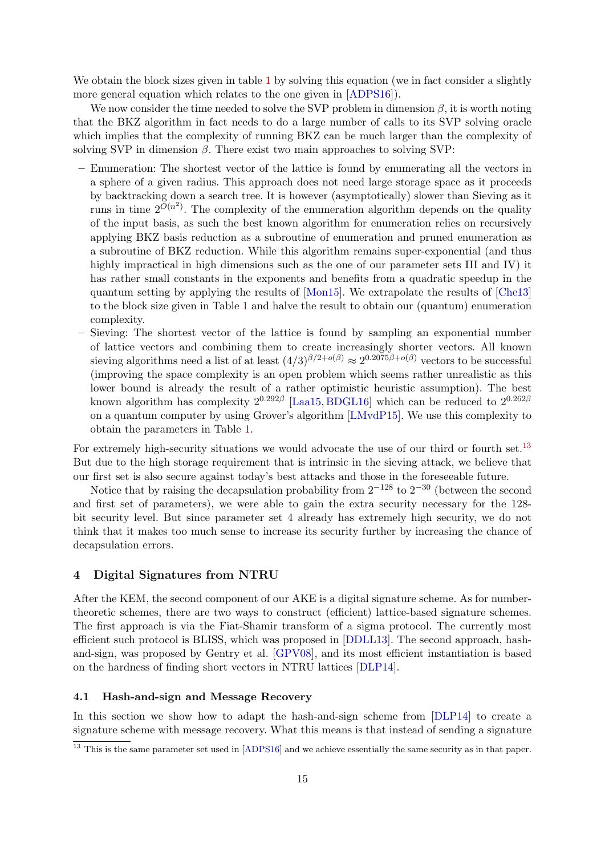We obtain the block sizes given in table 1 by solving this equation (we in fact consider a slightly more general equation which relates to the one given in [ADPS16]).

We now consider the time needed to solve the SVP problem in dimension  $\beta$ , it is worth noting that the BKZ algorithm in fact needs to do a large number of calls to its SVP solving oracle which implies that the complexity of running BKZ can be much larger than the complexity of solving SVP in dimension  $\beta$ . There exist two main approaches to solving SVP:

- Enumeration: The shortest vector of the lattice is found by enumerating all the vectors in a sphere of a given radius. This approach does not need large storage space as it proceeds by backtracking down a search tree. It is however (asymptotically) slower than Sieving as it runs in time  $2^{O(n^2)}$ . The complexity of the enumeration algorithm depends on the quality of the input basis, as such the best known algorithm for enumeration relies on recursively applying BKZ basis reduction as a subroutine of enumeration and pruned enumeration as a subroutine of BKZ reduction. While this algorithm remains super-exponential (and thus highly impractical in high dimensions such as the one of our parameter sets III and IV) it has rather small constants in the exponents and benefits from a quadratic speedup in the quantum setting by applying the results of [Mon15]. We extrapolate the results of [Che13] to the block size given in Table 1 and halve the result to obtain our (quantum) enumeration complexity.
- Sieving: The shortest vector of the lattice is found by sampling an exponential number of lattice vectors and combining them to create increasingly shorter vectors. All known sieving algorithms need a list of at least  $(4/3)^{\beta/2+o(\beta)} \approx 2^{0.2075\beta+o(\beta)}$  vectors to be successful (improving the space complexity is an open problem which seems rather unrealistic as this lower bound is already the result of a rather optimistic heuristic assumption). The best known algorithm has complexity  $2^{0.292\beta}$  [Laa15, BDGL16] which can be reduced to  $2^{0.262\beta}$ on a quantum computer by using Grover's algorithm [LMvdP15]. We use this complexity to obtain the parameters in Table 1.

For extremely high-security situations we would advocate the use of our third or fourth set.<sup>13</sup> But due to the high storage requirement that is intrinsic in the sieving attack, we believe that our first set is also secure against today's best attacks and those in the foreseeable future.

Notice that by raising the decapsulation probability from  $2^{-128}$  to  $2^{-30}$  (between the second and first set of parameters), we were able to gain the extra security necessary for the 128 bit security level. But since parameter set 4 already has extremely high security, we do not think that it makes too much sense to increase its security further by increasing the chance of decapsulation errors.

# 4 Digital Signatures from NTRU

After the KEM, the second component of our AKE is a digital signature scheme. As for numbertheoretic schemes, there are two ways to construct (efficient) lattice-based signature schemes. The first approach is via the Fiat-Shamir transform of a sigma protocol. The currently most efficient such protocol is BLISS, which was proposed in [DDLL13]. The second approach, hashand-sign, was proposed by Gentry et al. [GPV08], and its most efficient instantiation is based on the hardness of finding short vectors in NTRU lattices [DLP14].

# 4.1 Hash-and-sign and Message Recovery

In this section we show how to adapt the hash-and-sign scheme from [DLP14] to create a signature scheme with message recovery. What this means is that instead of sending a signature

<sup>&</sup>lt;sup>13</sup> This is the same parameter set used in [ADPS16] and we achieve essentially the same security as in that paper.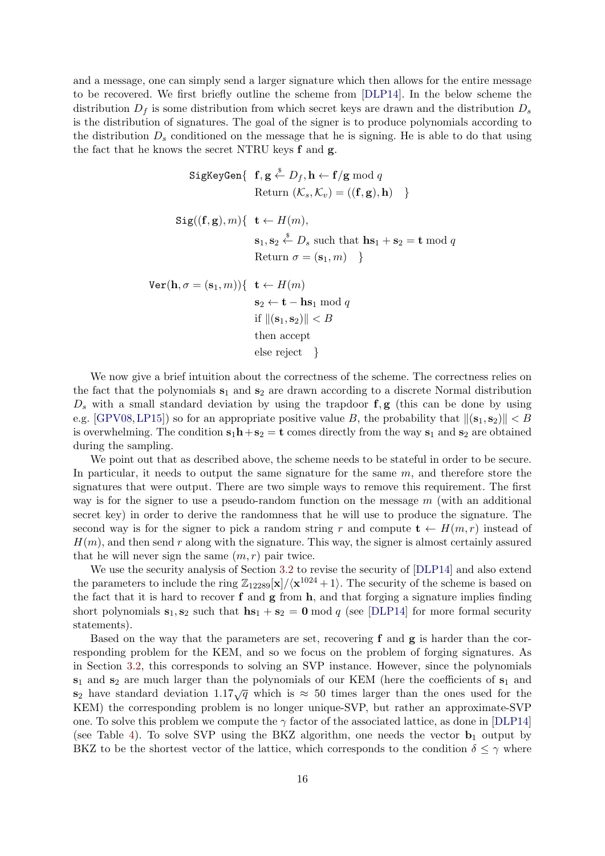and a message, one can simply send a larger signature which then allows for the entire message to be recovered. We first briefly outline the scheme from [DLP14]. In the below scheme the distribution  $D_f$  is some distribution from which secret keys are drawn and the distribution  $D_s$ is the distribution of signatures. The goal of the signer is to produce polynomials according to the distribution  $D_s$  conditioned on the message that he is signing. He is able to do that using the fact that he knows the secret NTRU keys f and g.

SigKeyGen{ f, g \$ ← D<sup>f</sup> , h ← f/g mod q Return (Ks, Kv) = ((f, g), h) } Sig((f, g), m){ t ← H(m), s1, s<sup>2</sup> \$ ← D<sup>s</sup> such that hs<sup>1</sup> + s<sup>2</sup> = t mod q Return σ = (s1, m) } Ver(h, σ = (s1, m)){ t ← H(m) s<sup>2</sup> ← t − hs<sup>1</sup> mod q if k(s1, s2)k < B then accept else reject }

We now give a brief intuition about the correctness of the scheme. The correctness relies on the fact that the polynomials  $s_1$  and  $s_2$  are drawn according to a discrete Normal distribution  $D_s$  with a small standard deviation by using the trapdoor  $f, g$  (this can be done by using e.g. [GPV08, LP15]) so for an appropriate positive value B, the probability that  $\|(\mathbf{s}_1, \mathbf{s}_2)\| < B$ is overwhelming. The condition  $s_1h+s_2 = t$  comes directly from the way  $s_1$  and  $s_2$  are obtained during the sampling.

We point out that as described above, the scheme needs to be stateful in order to be secure. In particular, it needs to output the same signature for the same  $m$ , and therefore store the signatures that were output. There are two simple ways to remove this requirement. The first way is for the signer to use a pseudo-random function on the message  $m$  (with an additional secret key) in order to derive the randomness that he will use to produce the signature. The second way is for the signer to pick a random string r and compute  $\mathbf{t} \leftarrow H(m,r)$  instead of  $H(m)$ , and then send r along with the signature. This way, the signer is almost certainly assured that he will never sign the same  $(m, r)$  pair twice.

We use the security analysis of Section 3.2 to revise the security of [DLP14] and also extend the parameters to include the ring  $\mathbb{Z}_{12289}[\mathbf{x}]/\langle \mathbf{x}^{1024} + 1 \rangle$ . The security of the scheme is based on the fact that it is hard to recover  $f$  and  $g$  from  $h$ , and that forging a signature implies finding short polynomials  $s_1, s_2$  such that  $hs_1 + s_2 = 0 \mod q$  (see [DLP14] for more formal security statements).

Based on the way that the parameters are set, recovering  $f$  and  $g$  is harder than the corresponding problem for the KEM, and so we focus on the problem of forging signatures. As in Section 3.2, this corresponds to solving an SVP instance. However, since the polynomials  $s_1$  and  $s_2$  are much larger than the polynomials of our KEM (here the coefficients of  $s_1$  and s<sub>2</sub> have standard deviation  $1.17\sqrt{q}$  which is  $\approx 50$  times larger than the ones used for the KEM) the corresponding problem is no longer unique-SVP, but rather an approximate-SVP one. To solve this problem we compute the  $\gamma$  factor of the associated lattice, as done in [DLP14] (see Table 4). To solve SVP using the BKZ algorithm, one needs the vector  $\mathbf{b}_1$  output by BKZ to be the shortest vector of the lattice, which corresponds to the condition  $\delta \leq \gamma$  where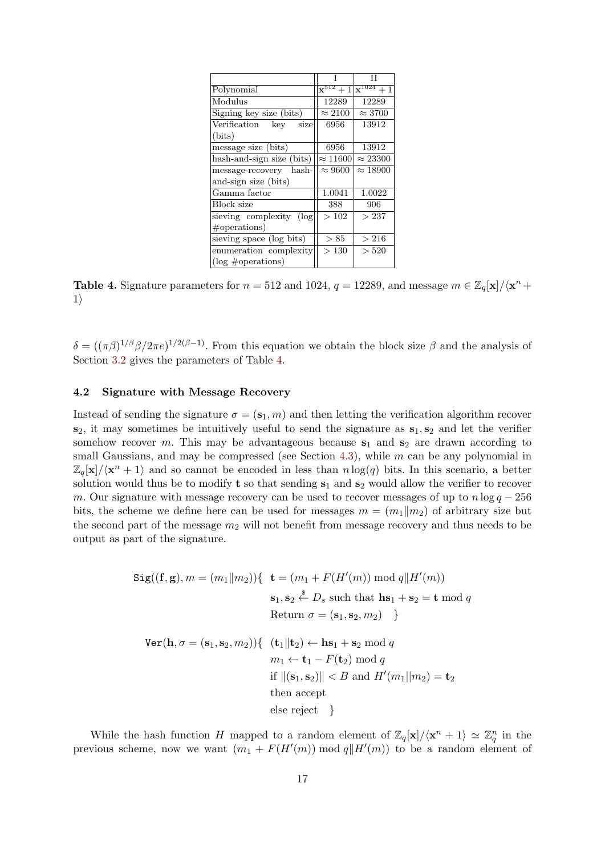|                               |                    | H                                        |
|-------------------------------|--------------------|------------------------------------------|
| Polynomial                    | $\mathbf{x}^{512}$ | $+1\overline{\mathbf{x}^{1024}}$<br>$+1$ |
| Modulus                       | 12289              | 12289                                    |
| Signing key size (bits)       | $\approx 2100$     | $\approx 3700$                           |
| Verification key<br>size      | 6956               | 13912                                    |
| (bits)                        |                    |                                          |
| message size (bits)           | 6956               | 13912                                    |
| hash-and-sign size (bits)     | $\approx 11600$    | $\approx 23300$                          |
| message-recovery hash-        | $\approx 9600$     | $\approx 18900$                          |
| and-sign size (bits)          |                    |                                          |
| Gamma factor                  | 1.0041             | 1.0022                                   |
| Block size                    | 388                | 906                                      |
| sieving complexity<br>$(\log$ | >102               | >237                                     |
| $\#operations)$               |                    |                                          |
| sieving space (log bits)      | > 85               | > 216                                    |
| enumeration complexity        | >130               | > 520                                    |
| $(\log \# operations)$        |                    |                                          |

**Table 4.** Signature parameters for  $n = 512$  and 1024,  $q = 12289$ , and message  $m \in \mathbb{Z}_q[\mathbf{x}]/\langle \mathbf{x}^n + \mathbf{y}^n \rangle$  $|1\rangle$ 

 $\delta = ((\pi \beta)^{1/\beta} \beta / 2\pi e)^{1/2(\beta - 1)}$ . From this equation we obtain the block size  $\beta$  and the analysis of Section 3.2 gives the parameters of Table 4.

#### 4.2 Signature with Message Recovery

Instead of sending the signature  $\sigma = (\mathbf{s}_1, m)$  and then letting the verification algorithm recover  $s_2$ , it may sometimes be intuitively useful to send the signature as  $s_1$ ,  $s_2$  and let the verifier somehow recover m. This may be advantageous because  $s_1$  and  $s_2$  are drawn according to small Gaussians, and may be compressed (see Section 4.3), while  $m$  can be any polynomial in  $\mathbb{Z}_q[\mathbf{x}]/\langle \mathbf{x}^n + 1 \rangle$  and so cannot be encoded in less than  $n \log(q)$  bits. In this scenario, a better solution would thus be to modify **t** so that sending  $s_1$  and  $s_2$  would allow the verifier to recover m. Our signature with message recovery can be used to recover messages of up to  $n \log q - 256$ bits, the scheme we define here can be used for messages  $m = (m_1||m_2)$  of arbitrary size but the second part of the message  $m_2$  will not benefit from message recovery and thus needs to be output as part of the signature.

$$
Sig((f, g), m = (m_1 || m_2)) \{ \mathbf{t} = (m_1 + F(H'(m)) \bmod q || H'(m))
$$
  
\n
$$
s_1, s_2 \stackrel{\$}{\leftarrow} D_s \bmod \mathbf{t} \bmod q || H'(m))
$$
  
\nReturn  $\sigma = (\mathbf{s}_1, \mathbf{s}_2, m_2)$  }  
\n
$$
Ver(\mathbf{h}, \sigma = (\mathbf{s}_1, \mathbf{s}_2, m_2)) \{ (\mathbf{t}_1 || \mathbf{t}_2) \leftarrow \mathbf{h} \mathbf{s}_1 + \mathbf{s}_2 \bmod q
$$
  
\n
$$
m_1 \leftarrow \mathbf{t}_1 - F(\mathbf{t}_2) \bmod q
$$
  
\nif  $||(\mathbf{s}_1, \mathbf{s}_2)|| < B$  and  $H'(m_1 || m_2) = \mathbf{t}_2$   
\nthen accept  
\nelse reject  $\}$ 

While the hash function H mapped to a random element of  $\mathbb{Z}_q[\mathbf{x}]/\langle \mathbf{x}^n + 1 \rangle \simeq \mathbb{Z}_q^n$  in the previous scheme, now we want  $(m_1 + F(H'(m)) \mod q \mid H'(m))$  to be a random element of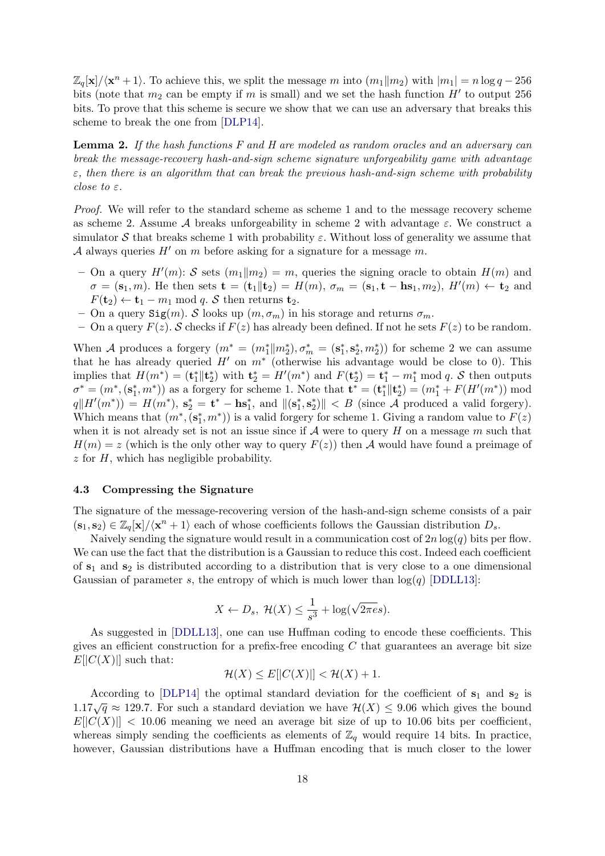$\mathbb{Z}_q[\mathbf{x}]/\langle \mathbf{x}^n + 1\rangle$ . To achieve this, we split the message m into  $(m_1||m_2)$  with  $|m_1| = n \log q - 256$ bits (note that  $m_2$  can be empty if m is small) and we set the hash function  $H'$  to output 256 bits. To prove that this scheme is secure we show that we can use an adversary that breaks this scheme to break the one from [DLP14].

Lemma 2. If the hash functions F and H are modeled as random oracles and an adversary can break the message-recovery hash-and-sign scheme signature unforgeability game with advantage  $\varepsilon$ , then there is an algorithm that can break the previous hash-and-sign scheme with probability close to  $\varepsilon$ .

Proof. We will refer to the standard scheme as scheme 1 and to the message recovery scheme as scheme 2. Assume A breaks unforgeability in scheme 2 with advantage  $\varepsilon$ . We construct a simulator S that breaks scheme 1 with probability  $\varepsilon$ . Without loss of generality we assume that A always queries  $H'$  on m before asking for a signature for a message m.

- On a query  $H'(m)$ : S sets  $(m_1||m_2) = m$ , queries the signing oracle to obtain  $H(m)$  and  $\sigma = (\mathbf{s}_1, m)$ . He then sets  $\mathbf{t} = (\mathbf{t}_1 || \mathbf{t}_2) = H(m)$ ,  $\sigma_m = (\mathbf{s}_1, \mathbf{t} - \mathbf{h} \mathbf{s}_1, m_2)$ ,  $H'(m) \leftarrow \mathbf{t}_2$  and  $F(\mathbf{t}_2) \leftarrow \mathbf{t}_1 - m_1 \mod q$ . S then returns  $\mathbf{t}_2$ .
- On a query  $\text{Sig}(m)$ . S looks up  $(m, \sigma_m)$  in his storage and returns  $\sigma_m$ .
- On a query  $F(z)$ . S checks if  $F(z)$  has already been defined. If not he sets  $F(z)$  to be random.

When A produces a forgery  $(m^* = (m_1^* || m_2^*), \sigma_m^* = (\mathbf{s}_1^*, \mathbf{s}_2^*, m_2^*)$  for scheme 2 we can assume that he has already queried  $H'$  on  $m^*$  (otherwise his advantage would be close to 0). This implies that  $H(m^*) = (\mathbf{t}_1^* || \mathbf{t}_2^*)$  with  $\mathbf{t}_2^* = H'(m^*)$  and  $F(\mathbf{t}_2^*) = \mathbf{t}_1^* - m_1^* \bmod q$ . S then outputs  $\sigma^* = (m^*, (\mathbf{s}_1^*, m^*))$  as a forgery for scheme 1. Note that  $\mathbf{t}^* = (\mathbf{t}_1^* || \mathbf{t}_2^*) = (m_1^* + F(H'(m^*)) \mod 2$  $q\|H'(m^*)) = H(m^*),$   $s_2^* = \mathbf{t}^* - \mathbf{h}s_1^*$ , and  $\|(\mathbf{s}_1^*, \mathbf{s}_2^*)\| < B$  (since A produced a valid forgery). Which means that  $(m^*, (\mathbf{s}_1^*, m^*))$  is a valid forgery for scheme 1. Giving a random value to  $F(z)$ when it is not already set is not an issue since if  $A$  were to query  $H$  on a message  $m$  such that  $H(m) = z$  (which is the only other way to query  $F(z)$ ) then A would have found a preimage of  $z$  for  $H$ , which has negligible probability.

#### 4.3 Compressing the Signature

The signature of the message-recovering version of the hash-and-sign scheme consists of a pair  $(\mathbf{s}_1, \mathbf{s}_2) \in \mathbb{Z}_q[\mathbf{x}]/\langle \mathbf{x}^n + 1 \rangle$  each of whose coefficients follows the Gaussian distribution  $D_s$ .

Naively sending the signature would result in a communication cost of  $2n \log(q)$  bits per flow. We can use the fact that the distribution is a Gaussian to reduce this cost. Indeed each coefficient of  $s_1$  and  $s_2$  is distributed according to a distribution that is very close to a one dimensional Gaussian of parameter s, the entropy of which is much lower than  $log(q)$  [DDLL13]:

$$
X \leftarrow D_s, \ \mathcal{H}(X) \le \frac{1}{s^3} + \log(\sqrt{2\pi e} s).
$$

As suggested in [DDLL13], one can use Huffman coding to encode these coefficients. This gives an efficient construction for a prefix-free encoding  $C$  that guarantees an average bit size  $E[|C(X)|]$  such that:

$$
\mathcal{H}(X) \le E[|C(X)|] < \mathcal{H}(X) + 1.
$$

According to [DLP14] the optimal standard deviation for the coefficient of  $s_1$  and  $s_2$  is  $1.17\sqrt{q} \approx 129.7$ . For such a standard deviation we have  $\mathcal{H}(X) \leq 9.06$  which gives the bound  $E[|C(X)|] < 10.06$  meaning we need an average bit size of up to 10.06 bits per coefficient, whereas simply sending the coefficients as elements of  $\mathbb{Z}_q$  would require 14 bits. In practice, however, Gaussian distributions have a Huffman encoding that is much closer to the lower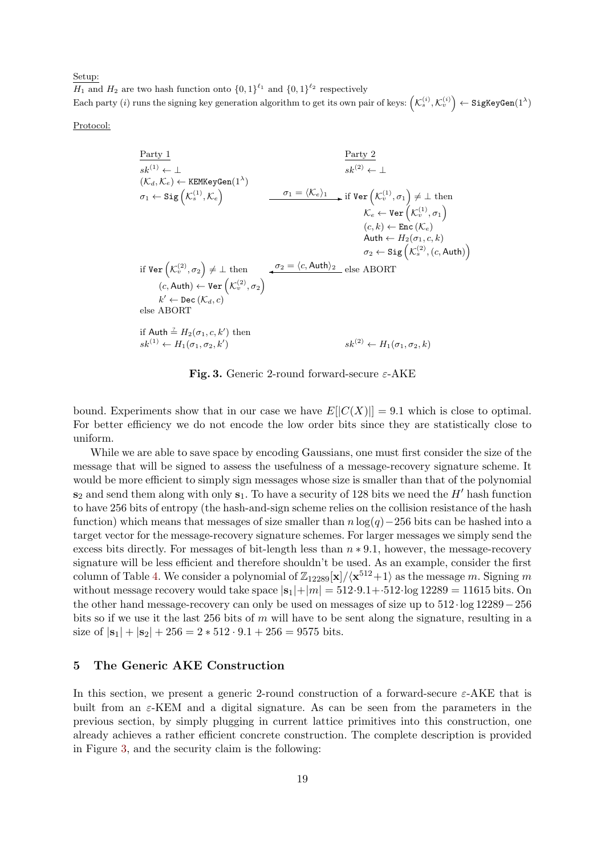Setup:

 $H_1$  and  $H_2$  are two hash function onto  $\{0,1\}^{\ell_1}$  and  $\{0,1\}^{\ell_2}$  respectively Each party (i) runs the signing key generation algorithm to get its own pair of keys:  $(\mathcal{K}_s^{(i)}, \mathcal{K}_v^{(i)}) \leftarrow$  SigKeyGen $(1^{\lambda})$ 

Protocol:

| Party 1                                                        | Party 2                                                           |                                                   |                                                                                          |
|----------------------------------------------------------------|-------------------------------------------------------------------|---------------------------------------------------|------------------------------------------------------------------------------------------|
| $sk^{(1)} \leftarrow \perp$                                    | $(K_d, K_e) \leftarrow \text{KEMKeyGen}(1^{\lambda})$             | $\sigma_1 \leftarrow \text{Sig} (K_s^{(1)}, K_e)$ | $\sigma_1 = \langle K_e \rangle_1$ if $\text{Ver} (K_v^{(1)}, \sigma_1) \neq \perp$ then |
| $K_e \leftarrow \text{Ver} (K_e^{(1)}, \sigma_1)$              | $(c, k) \leftarrow \text{Enc} (K_e)$                              | $(K_e^{(1)}, \sigma_1)$                           |                                                                                          |
| if $\text{Ver} (K_v^{(2)}, \sigma_2) \neq \perp$ then          | $\sigma_2 = \langle c, \text{Auth} \rangle_2$ else $\text{ABORT}$ |                                                   |                                                                                          |
| $(c, \text{Auth}) \leftarrow \text{Ver} (K_v^{(2)}, \sigma_2)$ | $\text{else } \text{ABORT}$                                       |                                                   |                                                                                          |
| if $\text{Auth} \stackrel{?}{=} H_2(\sigma_1, c, k')$ then     | $\sigma_2 = \langle c, \text{Auth} \rangle_2$ else $\text{ABORT}$ |                                                   |                                                                                          |
| if $\text{Auth} \stackrel{?}{=} H_2(\sigma_1, c, k')$ then     | $sk^{(2)} \leftarrow H_1(\sigma_1, \sigma_2, k)$                  |                                                   |                                                                                          |

Fig. 3. Generic 2-round forward-secure  $\varepsilon$ -AKE

bound. Experiments show that in our case we have  $E|[C(X)|] = 9.1$  which is close to optimal. For better efficiency we do not encode the low order bits since they are statistically close to uniform.

While we are able to save space by encoding Gaussians, one must first consider the size of the message that will be signed to assess the usefulness of a message-recovery signature scheme. It would be more efficient to simply sign messages whose size is smaller than that of the polynomial  $s_2$  and send them along with only  $s_1$ . To have a security of 128 bits we need the H' hash function to have 256 bits of entropy (the hash-and-sign scheme relies on the collision resistance of the hash function) which means that messages of size smaller than  $n \log(q) - 256$  bits can be hashed into a target vector for the message-recovery signature schemes. For larger messages we simply send the excess bits directly. For messages of bit-length less than  $n * 9.1$ , however, the message-recovery signature will be less efficient and therefore shouldn't be used. As an example, consider the first column of Table 4. We consider a polynomial of  $\mathbb{Z}_{12289}[\mathbf{x}]/\langle \mathbf{x}^{512}+1\rangle$  as the message m. Signing m without message recovery would take space  $|s_1|+|m| = 512 \cdot 9 \cdot 1 + 512 \cdot \log 12289 = 11615$  bits. On the other hand message-recovery can only be used on messages of size up to 512 ·log 12289−256 bits so if we use it the last 256 bits of m will have to be sent along the signature, resulting in a size of  $|s_1| + |s_2| + 256 = 2 * 512 \cdot 9.1 + 256 = 9575$  bits.

### 5 The Generic AKE Construction

In this section, we present a generic 2-round construction of a forward-secure  $\varepsilon$ -AKE that is built from an  $\varepsilon$ -KEM and a digital signature. As can be seen from the parameters in the previous section, by simply plugging in current lattice primitives into this construction, one already achieves a rather efficient concrete construction. The complete description is provided in Figure 3, and the security claim is the following: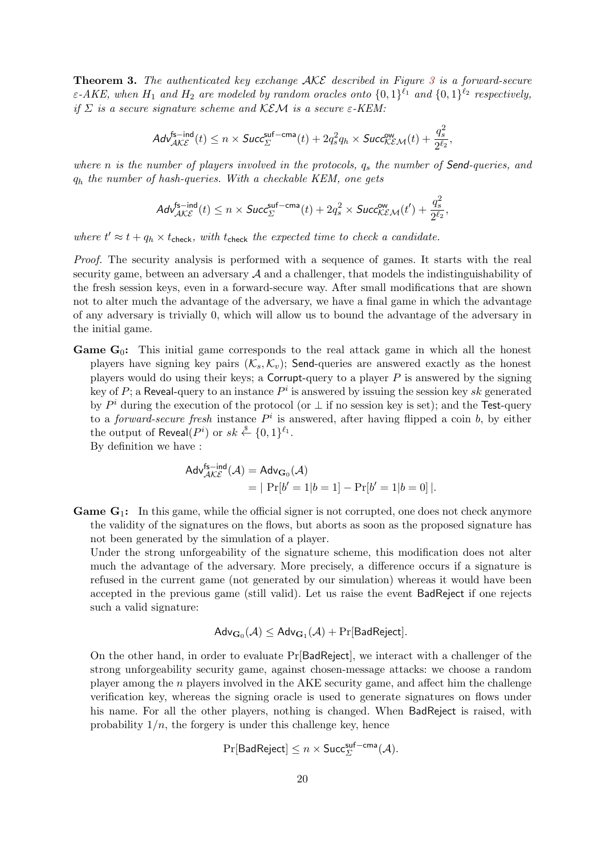**Theorem 3.** The authenticated key exchange  $\mathcal{AKE}$  described in Figure 3 is a forward-secure  $\varepsilon$ -AKE, when  $H_1$  and  $H_2$  are modeled by random oracles onto  $\{0,1\}^{\ell_1}$  and  $\{0,1\}^{\ell_2}$  respectively, if  $\Sigma$  is a secure signature scheme and KEM is a secure  $\varepsilon$ -KEM:

$$
\mathcal{A}d\mathbf{v}^{\mathsf{fs}-\mathsf{ind}}_{\mathcal{A}\mathcal{K}\mathcal{E}}(t) \leq n \times \mathsf{Succ}^{\mathsf{suf-cma}}_{\mathcal{Z}}(t) + 2q_s^2q_h \times \mathsf{Succ}^{\mathsf{cw}}_{\mathcal{K}\mathcal{E}\mathcal{M}}(t) + \frac{q_s^2}{2^{\ell_2}},
$$

where n is the number of players involved in the protocols,  $q_s$  the number of Send-queries, and  $q_h$  the number of hash-queries. With a checkable KEM, one gets

$$
\mathit{Adv}_{\mathcal{AKE}}^{\mathsf{fs-ind}}(t) \leq n \times \mathit{Succ}_{\Sigma}^{\mathsf{suf-cma}}(t) + 2q_s^2 \times \mathit{Succ}_{\mathcal{KEM}}^{\mathsf{ow}}(t') + \frac{q_s^2}{2^{\ell_2}},
$$

where  $t' \approx t + q_h \times t_{\text{check}}$ , with  $t_{\text{check}}$  the expected time to check a candidate.

Proof. The security analysis is performed with a sequence of games. It starts with the real security game, between an adversary  $A$  and a challenger, that models the indistinguishability of the fresh session keys, even in a forward-secure way. After small modifications that are shown not to alter much the advantage of the adversary, we have a final game in which the advantage of any adversary is trivially 0, which will allow us to bound the advantage of the adversary in the initial game.

**Game**  $G_0$ **:** This initial game corresponds to the real attack game in which all the honest players have signing key pairs  $(\mathcal{K}_s, \mathcal{K}_v)$ ; Send-queries are answered exactly as the honest players would do using their keys; a Corrupt-query to a player  $P$  is answered by the signing key of P; a Reveal-query to an instance  $P^i$  is answered by issuing the session key sk generated by  $P^i$  during the execution of the protocol (or  $\perp$  if no session key is set); and the Test-query to a *forward-secure fresh* instance  $P^i$  is answered, after having flipped a coin b, by either the output of Reveal $(P^i)$  or  $sk \stackrel{\$}{\leftarrow} \{0,1\}^{\ell_1}.$ 

By definition we have :

$$
Adv_{\mathcal{AKE}}^{\mathsf{fs-ind}}(\mathcal{A}) = Adv_{\mathbf{G}_0}(\mathcal{A})
$$
  
= |  $Pr[b' = 1|b = 1] - Pr[b' = 1|b = 0] |$ .

**Game**  $G_1$ **:** In this game, while the official signer is not corrupted, one does not check anymore the validity of the signatures on the flows, but aborts as soon as the proposed signature has not been generated by the simulation of a player.

Under the strong unforgeability of the signature scheme, this modification does not alter much the advantage of the adversary. More precisely, a difference occurs if a signature is refused in the current game (not generated by our simulation) whereas it would have been accepted in the previous game (still valid). Let us raise the event BadReject if one rejects such a valid signature:

$$
\mathsf{Adv}_{\mathbf{G}_0}(\mathcal{A}) \leq \mathsf{Adv}_{\mathbf{G}_1}(\mathcal{A}) + \Pr[\mathsf{BadReject}].
$$

On the other hand, in order to evaluate Pr[BadReject], we interact with a challenger of the strong unforgeability security game, against chosen-message attacks: we choose a random player among the n players involved in the AKE security game, and affect him the challenge verification key, whereas the signing oracle is used to generate signatures on flows under his name. For all the other players, nothing is changed. When BadReject is raised, with probability  $1/n$ , the forgery is under this challenge key, hence

$$
\Pr[\mathsf{BadReject}] \leq n \times \mathsf{Succ}_{\Sigma}^{\mathsf{suf-cma}}(\mathcal{A}).
$$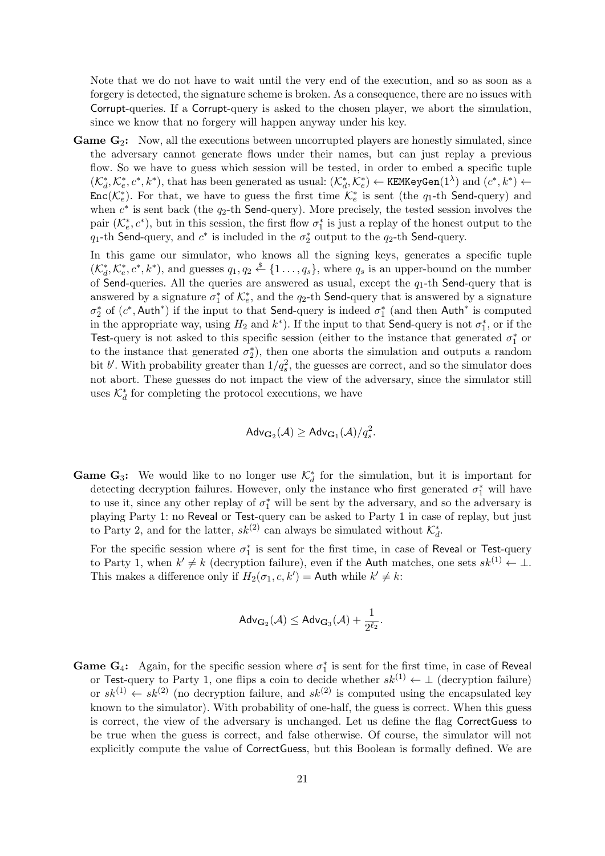Note that we do not have to wait until the very end of the execution, and so as soon as a forgery is detected, the signature scheme is broken. As a consequence, there are no issues with Corrupt-queries. If a Corrupt-query is asked to the chosen player, we abort the simulation, since we know that no forgery will happen anyway under his key.

**Game**  $G_2$ **:** Now, all the executions between uncorrupted players are honestly simulated, since the adversary cannot generate flows under their names, but can just replay a previous flow. So we have to guess which session will be tested, in order to embed a specific tuple  $(\mathcal{K}_d^*, \mathcal{K}_e^*, c^*, k^*)$ , that has been generated as usual:  $(\mathcal{K}_d^*, \mathcal{K}_e^*) \leftarrow$  KEMKeyGen $(1^{\lambda})$  and  $(c^*, k^*) \leftarrow$  $Enc(\mathcal{K}_e^*)$ . For that, we have to guess the first time  $\mathcal{K}_e^*$  is sent (the  $q_1$ -th Send-query) and when  $c^*$  is sent back (the  $q_2$ -th Send-query). More precisely, the tested session involves the pair  $(\mathcal{K}_e^*, c^*)$ , but in this session, the first flow  $\sigma_1^*$  is just a replay of the honest output to the  $q_1$ -th Send-query, and  $c^*$  is included in the  $\sigma_2^*$  output to the  $q_2$ -th Send-query.

In this game our simulator, who knows all the signing keys, generates a specific tuple  $(\mathcal{K}_d^*, \mathcal{K}_e^*, c^*, k^*)$ , and guesses  $q_1, q_2 \stackrel{\$}{\leftarrow} \{1 \ldots, q_s\}$ , where  $q_s$  is an upper-bound on the number of Send-queries. All the queries are answered as usual, except the  $q_1$ -th Send-query that is answered by a signature  $\sigma_1^*$  of  $\mathcal{K}^*_{e}$ , and the  $q_2$ -th Send-query that is answered by a signature  $\sigma_2^*$  of  $(c^*, \mathsf{Auth^*})$  if the input to that Send-query is indeed  $\sigma_1^*$  (and then Auth\* is computed in the appropriate way, using  $H_2$  and  $k^*$ ). If the input to that Send-query is not  $\sigma_1^*$ , or if the Test-query is not asked to this specific session (either to the instance that generated  $\sigma_1^*$  or to the instance that generated  $\sigma_2^*$ ), then one aborts the simulation and outputs a random bit b'. With probability greater than  $1/q_s^2$ , the guesses are correct, and so the simulator does not abort. These guesses do not impact the view of the adversary, since the simulator still uses  $\mathcal{K}_{d}^{*}$  for completing the protocol executions, we have

$$
\mathsf{Adv}_{\mathbf{G}_2}(\mathcal{A}) \geq \mathsf{Adv}_{\mathbf{G}_1}(\mathcal{A})/q_s^2.
$$

Game G<sub>3</sub>: We would like to no longer use  $\mathcal{K}_d^*$  for the simulation, but it is important for detecting decryption failures. However, only the instance who first generated  $\sigma_1^*$  will have to use it, since any other replay of  $\sigma_1^*$  will be sent by the adversary, and so the adversary is playing Party 1: no Reveal or Test-query can be asked to Party 1 in case of replay, but just to Party 2, and for the latter,  $sk^{(2)}$  can always be simulated without  $\mathcal{K}_d^*$ .

For the specific session where  $\sigma_1^*$  is sent for the first time, in case of Reveal or Test-query to Party 1, when  $k' \neq k$  (decryption failure), even if the Auth matches, one sets  $sk^{(1)} \leftarrow \perp$ . This makes a difference only if  $H_2(\sigma_1, c, k') =$  Auth while  $k' \neq k$ :

$$
\mathsf{Adv}_{\mathbf{G}_2}(\mathcal{A}) \leq \mathsf{Adv}_{\mathbf{G}_3}(\mathcal{A}) + \frac{1}{2^{\ell_2}}.
$$

Game  $G_4$ : Again, for the specific session where  $\sigma_1^*$  is sent for the first time, in case of Reveal **The G**<sub>4</sub>: Again, for the specific session where  $\sigma_1$  is sent for the first time, in case of Nevealth or Test-query to Party 1, one flips a coin to decide whether  $sk^{(1)} \leftarrow \perp$  (decryption failure) or  $sk^{(1)} \leftarrow sk^{(2)}$  (no decryption failure, and  $sk^{(2)}$  is computed using the encapsulated key known to the simulator). With probability of one-half, the guess is correct. When this guess is correct, the view of the adversary is unchanged. Let us define the flag CorrectGuess to be true when the guess is correct, and false otherwise. Of course, the simulator will not explicitly compute the value of CorrectGuess, but this Boolean is formally defined. We are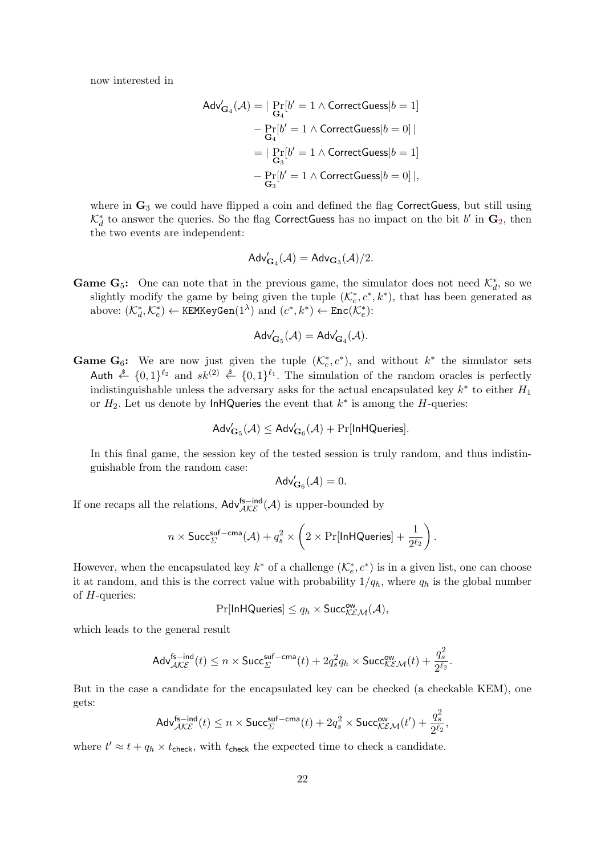now interested in

$$
\begin{aligned} \mathsf{Adv}_{\mathbf{G}_4}'(\mathcal{A}) &= \mid \Pr_{\mathbf{G}_4}[b' = 1 \land \mathsf{CorrectGuess} | b = 1] \\ &- \Pr_{\mathbf{G}_4}[b' = 1 \land \mathsf{CorrectGuess} | b = 0] \mid \\ &= \mid \Pr_{\mathbf{G}_3}[b' = 1 \land \mathsf{CorrectGuess} | b = 1] \\ &- \Pr_{\mathbf{G}_3}[b' = 1 \land \mathsf{CorrectGuess} | b = 0] \mid, \end{aligned}
$$

where in  $\mathbf{G}_3$  we could have flipped a coin and defined the flag CorrectGuess, but still using  $\mathcal{K}_d^*$  to answer the queries. So the flag CorrectGuess has no impact on the bit  $b'$  in  $\mathbf{G}_2$ , then the two events are independent:

$$
\mathsf{Adv}'_{\mathbf{G}_4}(\mathcal{A}) = \mathsf{Adv}_{\mathbf{G}_3}(\mathcal{A})/2.
$$

**Game G<sub>5</sub>:** One can note that in the previous game, the simulator does not need  $\mathcal{K}^*_{d}$ , so we slightly modify the game by being given the tuple  $(\mathcal{K}_e^*, c^*, k^*)$ , that has been generated as above:  $(\mathcal{K}_d^*, \mathcal{K}_e^*) \leftarrow$  KEMKeyGen $(1^{\lambda})$  and  $(c^*, k^*) \leftarrow$  Enc $(\mathcal{K}_e^*)$ :

$$
\mathsf{Adv}_{\mathbf{G}_5}'(\mathcal{A}) = \mathsf{Adv}_{\mathbf{G}_4}'(\mathcal{A}).
$$

Game G<sub>6</sub>: We are now just given the tuple  $(\mathcal{K}_e^*, c^*)$ , and without  $k^*$  the simulator sets Auth  $\stackrel{\$}{\leftarrow} \{0,1\}^{\ell_2}$  and  $sk^{(2)} \stackrel{\$}{\leftarrow} \{0,1\}^{\ell_1}$ . The simulation of the random oracles is perfectly indistinguishable unless the adversary asks for the actual encapsulated key  $k^*$  to either  $H_1$ or  $H_2$ . Let us denote by InHQueries the event that  $k^*$  is among the H-queries:

$$
\mathsf{Adv}'_{\mathbf{G}_5}(\mathcal{A}) \leq \mathsf{Adv}'_{\mathbf{G}_6}(\mathcal{A}) + \Pr[\mathsf{InHQueries}].
$$

In this final game, the session key of the tested session is truly random, and thus indistinguishable from the random case:

$$
\mathsf{Adv}'_{\mathbf{G}_6}(\mathcal{A})=0.
$$

If one recaps all the relations,  $\mathsf{Adv}_{\mathcal{AKE}}^{\mathsf{fs}-\mathsf{ind}}(\mathcal{A})$  is upper-bounded by

$$
n\times \mathsf{Succ}^{\mathsf{suf-cma}}_{\varSigma}(\mathcal{A}) + q_s^2\times \left(2\times \Pr[\mathsf{InHQueries}]+\frac{1}{2^{\ell_2}}\right).
$$

However, when the encapsulated key  $k^*$  of a challenge  $(\mathcal{K}^*_e, c^*)$  is in a given list, one can choose it at random, and this is the correct value with probability  $1/q_h$ , where  $q_h$  is the global number of  $H$ -queries:

$$
\Pr[\mathsf{InHQueries}] \le q_h \times \mathsf{Succ}_{\mathcal{KEM}}^{\mathsf{ow}}(\mathcal{A}),
$$

which leads to the general result

$$
\mathsf{Adv}_{\mathcal{AKE}}^{\mathsf{fs}-\mathsf{ind}}(t) \leq n \times \mathsf{Succ}_{\varSigma}^{\mathsf{suf-cma}}(t) + 2q_s^2q_h \times \mathsf{Succ}_{\mathcal{KEM}}^{\mathsf{ow}}(t) + \frac{q_s^2}{2^{\ell_2}}.
$$

But in the case a candidate for the encapsulated key can be checked (a checkable KEM), one gets:

$$
\mathsf{Adv}_{\mathcal{AKE}}^{\mathsf{fs}-\mathsf{ind}}(t) \leq n \times \mathsf{Succ}_{\varSigma}^{\mathsf{suf-cma}}(t) + 2q_s^2 \times \mathsf{Succ}_{\mathcal{KEM}}^{\mathsf{cw}}(t') + \frac{q_s^2}{2^{\ell_2}},
$$

where  $t' \approx t + q_h \times t_{\text{check}}$ , with  $t_{\text{check}}$  the expected time to check a candidate.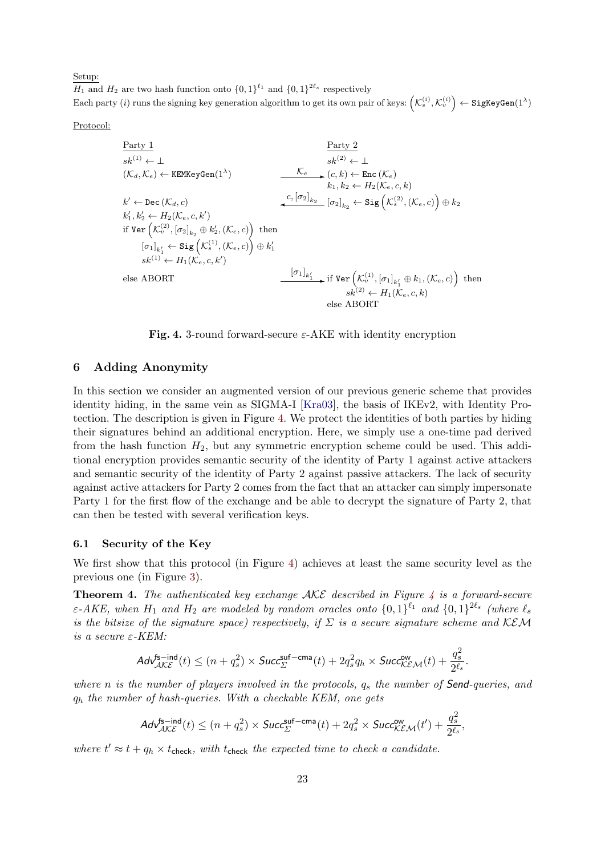Setup:

 $H_1$  and  $H_2$  are two hash function onto  $\{0,1\}^{\ell_1}$  and  $\{0,1\}^{2\ell_s}$  respectively Each party (i) runs the signing key generation algorithm to get its own pair of keys:  $(\mathcal{K}_s^{(i)}, \mathcal{K}_v^{(i)}) \leftarrow$  SigKeyGen $(1^{\lambda})$ 

Protocol:

| Party 1                                                                    | Party 2                                                                                           |                                     |
|----------------------------------------------------------------------------|---------------------------------------------------------------------------------------------------|-------------------------------------|
| $sk^{(1)} \leftarrow \bot$                                                 | $sk^{(2)} \leftarrow \bot$                                                                        |                                     |
| $(K_d, K_e) \leftarrow \text{KEMKeyGen}(1^{\lambda})$                      | $\mathcal{K}_e$                                                                                   | $(c, k) \leftarrow \text{Enc}(K_e)$ |
| $k' \leftarrow \text{Dec}(K_d, c)$                                         | $c, [\sigma_2]_{k_2} \leftarrow G_2]_{k_2} \leftarrow \text{Sig}(K_s^{(2)}, (K_e, c)) \oplus k_2$ |                                     |
| $k'_1, k'_2 \leftarrow H_2(K_e, c, k')$                                    | $c, [\sigma_2]_{k_2} \leftarrow \text{Sig}(K_s^{(2)}, (K_e, c)) \oplus k_2$                       |                                     |
| if $\text{Ver}(K_v^{(2)}, [\sigma_2]_{k_2} \oplus k'_2, (K_e, c))$ then    |                                                                                                   |                                     |
| $[\sigma_1]_{k'_1} \leftarrow \text{Sig}(K_s^{(1)}, (K_e, c)) \oplus k'_1$ |                                                                                                   |                                     |
| $sk^{(1)} \leftarrow H_1(K_e, c, k')$                                      | $[\sigma_1]_{k'_1}$                                                                               |                                     |
| else $\text{ABORT}$                                                        | $\mathcal{K}_e^{(1)} \leftarrow H_1(K_e, c, k)$                                                   |                                     |
| else $\text{ABORT}$                                                        | $\mathcal{K}_e^{(2)} \leftarrow H_1(K_e, c, k)$                                                   |                                     |

Fig. 4. 3-round forward-secure  $\varepsilon$ -AKE with identity encryption

#### 6 Adding Anonymity

In this section we consider an augmented version of our previous generic scheme that provides identity hiding, in the same vein as SIGMA-I [Kra03], the basis of IKEv2, with Identity Protection. The description is given in Figure 4. We protect the identities of both parties by hiding their signatures behind an additional encryption. Here, we simply use a one-time pad derived from the hash function  $H_2$ , but any symmetric encryption scheme could be used. This additional encryption provides semantic security of the identity of Party 1 against active attackers and semantic security of the identity of Party 2 against passive attackers. The lack of security against active attackers for Party 2 comes from the fact that an attacker can simply impersonate Party 1 for the first flow of the exchange and be able to decrypt the signature of Party 2, that can then be tested with several verification keys.

#### 6.1 Security of the Key

We first show that this protocol (in Figure 4) achieves at least the same security level as the previous one (in Figure 3).

**Theorem 4.** The authenticated key exchange  $\mathcal{AKE}$  described in Figure 4 is a forward-secure  $\varepsilon$ -AKE, when  $H_1$  and  $H_2$  are modeled by random oracles onto  $\{0,1\}^{\ell_1}$  and  $\{0,1\}^{2\ell_s}$  (where  $\ell_s$ is the bitsize of the signature space) respectively, if  $\Sigma$  is a secure signature scheme and KEM is a secure  $\varepsilon$ -KEM:

$$
\mathcal{A}d\mathbf{v}^{\mathsf{fs}-\mathsf{ind}}_{\mathcal{AKE}}(t) \leq (n+q_s^2) \times \mathcal{S} \mathsf{ucc}_{\varSigma}^{\mathsf{suf-cma}}(t) + 2q_s^2 q_h \times \mathcal{S} \mathsf{ucc}_{\mathcal{KEM}}^{\mathsf{ow}}(t) + \frac{q_s^2}{2^{\ell_s}}.
$$

where n is the number of players involved in the protocols,  $q_s$  the number of Send-queries, and  $q_h$  the number of hash-queries. With a checkable KEM, one gets

 $\sim$ 

$$
Adv_{\mathcal{AKE}}^{\mathsf{fs-ind}}(t) \le (n+q_s^2) \times \mathsf{Succ}_{\Sigma}^{\mathsf{suf-cma}}(t) + 2q_s^2 \times \mathsf{Succ}_{\mathcal{KEM}}^{\mathsf{cw}}(t') + \frac{q_s^2}{2^{\ell_s}},
$$

where  $t' \approx t + q_h \times t_{\text{check}}$ , with  $t_{\text{check}}$  the expected time to check a candidate.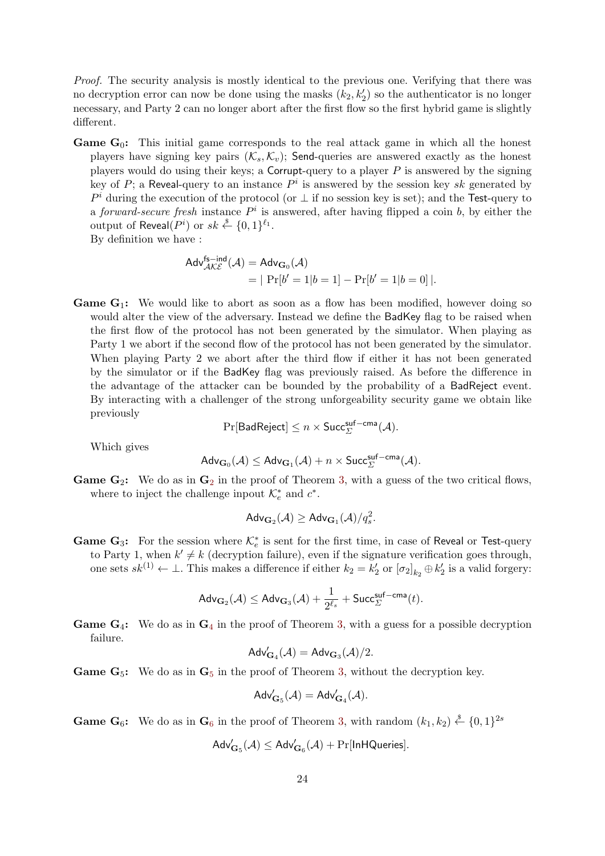Proof. The security analysis is mostly identical to the previous one. Verifying that there was no decryption error can now be done using the masks  $(k_2, k'_2)$  so the authenticator is no longer necessary, and Party 2 can no longer abort after the first flow so the first hybrid game is slightly different.

**Game G<sub>0</sub>:** This initial game corresponds to the real attack game in which all the honest players have signing key pairs  $(\mathcal{K}_s, \mathcal{K}_v)$ ; Send-queries are answered exactly as the honest players would do using their keys; a Corrupt-query to a player  $P$  is answered by the signing key of P; a Reveal-query to an instance  $P^i$  is answered by the session key sk generated by  $P^i$  during the execution of the protocol (or  $\perp$  if no session key is set); and the Test-query to a forward-secure fresh instance  $P^i$  is answered, after having flipped a coin b, by either the output of  $\mathsf{Reveal}(P^i)$  or  $sk \overset{\hspace{0.1em}\mathsf{\scriptscriptstyle\$}}{\leftarrow} \{0,1\}^{\ell_1}.$ By definition we have :

$$
Adv_{\mathcal{AKE}}^{\mathsf{fs-ind}}(\mathcal{A}) = \mathsf{Adv}_{\mathbf{G}_0}(\mathcal{A})
$$
  
= |  $\Pr[b' = 1|b = 1] - \Pr[b' = 1|b = 0]$  |.

**Game G<sub>1</sub>:** We would like to abort as soon as a flow has been modified, however doing so would alter the view of the adversary. Instead we define the BadKey flag to be raised when the first flow of the protocol has not been generated by the simulator. When playing as Party 1 we abort if the second flow of the protocol has not been generated by the simulator. When playing Party 2 we abort after the third flow if either it has not been generated by the simulator or if the BadKey flag was previously raised. As before the difference in the advantage of the attacker can be bounded by the probability of a BadReject event. By interacting with a challenger of the strong unforgeability security game we obtain like previously

$$
\Pr[\mathsf{BadReject}] \leq n \times \mathsf{Succ}_{\varSigma}^{\mathsf{suf-cma}}(\mathcal{A}).
$$

Which gives

$$
\mathsf{Adv}_{\mathbf{G}_0}(\mathcal{A}) \leq \mathsf{Adv}_{\mathbf{G}_1}(\mathcal{A}) + n \times \mathsf{Succ}_{\Sigma}^{\mathsf{suf-cma}}(\mathcal{A}).
$$

**Game G<sub>2</sub>:** We do as in  $G_2$  in the proof of Theorem 3, with a guess of the two critical flows, where to inject the challenge inpout  $\mathcal{K}^*_{e}$  and  $c^*$ .

$$
\mathsf{Adv}_{\mathbf{G}_2}(\mathcal{A}) \geq \mathsf{Adv}_{\mathbf{G}_1}(\mathcal{A})/q_s^2.
$$

Game  $G_3$ : For the session where  $\mathcal{K}^*_e$  is sent for the first time, in case of Reveal or Test-query to Party 1, when  $k' \neq k$  (decryption failure), even if the signature verification goes through, one sets  $sk^{(1)} \leftarrow \perp$ . This makes a difference if either  $k_2 = k'_2$  or  $[\sigma_2]_{k_2} \oplus k'_2$  is a valid forgery:

$$
\mathsf{Adv}_{\mathbf{G}_2}(\mathcal{A}) \leq \mathsf{Adv}_{\mathbf{G}_3}(\mathcal{A}) + \frac{1}{2^{\ell_s}} + \mathsf{Succ}^{\mathsf{suf-cma}}_{\varSigma}(t).
$$

**Game G<sub>4</sub>:** We do as in  $G_4$  in the proof of Theorem 3, with a guess for a possible decryption failure.

$$
\mathsf{Adv}_{\mathbf{G}_4}'(\mathcal{A}) = \mathsf{Adv}_{\mathbf{G}_3}(\mathcal{A})/2.
$$

**Game G<sub>5</sub>:** We do as in  $G_5$  in the proof of Theorem 3, without the decryption key.

$$
\mathsf{Adv}_{\mathbf{G}_5}'(\mathcal{A}) = \mathsf{Adv}_{\mathbf{G}_4}'(\mathcal{A}).
$$

**Game G<sub>6</sub>:** We do as in **G**<sub>6</sub> in the proof of Theorem 3, with random  $(k_1, k_2) \stackrel{\$}{\leftarrow} \{0, 1\}^{2s}$ 

$$
\mathsf{Adv}'_{\mathbf{G}_5}(\mathcal{A}) \leq \mathsf{Adv}'_{\mathbf{G}_6}(\mathcal{A}) + \Pr[\mathsf{InHQueries}].
$$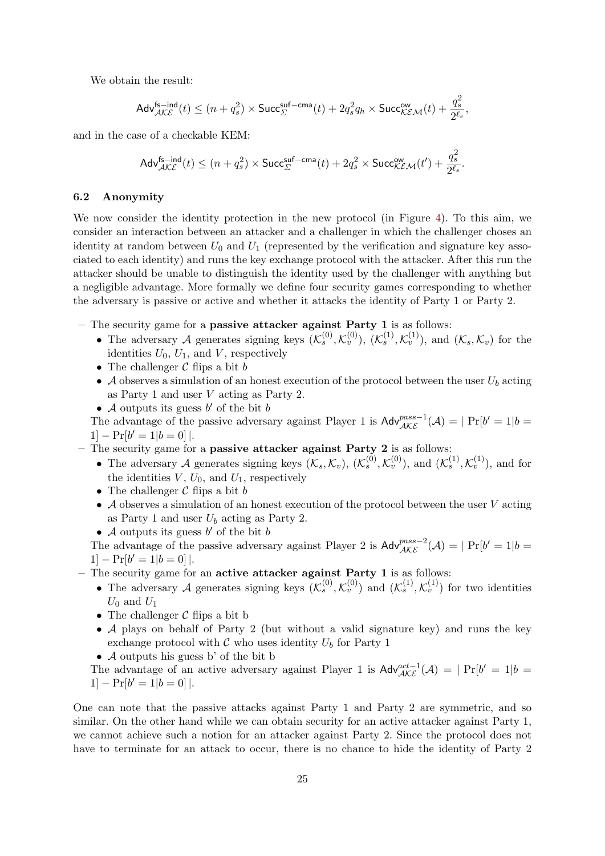We obtain the result:

$$
\mathsf{Adv}_{\mathcal{AKE}}^{\mathsf{fs-ind}}(t) \leq (n+q_s^2) \times \mathsf{Succ}_{\varSigma}^{\mathsf{suf-cma}}(t) + 2q_s^2 q_h \times \mathsf{Succ}_{\mathcal{KEM}}^{\mathsf{ow}}(t) + \frac{q_s^2}{2^{\ell_s}},
$$

and in the case of a checkable KEM:

$$
\mathsf{Adv}_{\mathcal{AKE}}^{\mathsf{fs-ind}}(t) \leq (n+q_s^2) \times \mathsf{Succ}_{\varSigma}^{\mathsf{suf-cma}}(t) + 2q_s^2 \times \mathsf{Succ}_{\mathcal{KEM}}^{\mathsf{cw}}(t') + \frac{q_s^2}{2^{\ell_s}}.
$$

# 6.2 Anonymity

We now consider the identity protection in the new protocol (in Figure 4). To this aim, we consider an interaction between an attacker and a challenger in which the challenger choses an identity at random between  $U_0$  and  $U_1$  (represented by the verification and signature key associated to each identity) and runs the key exchange protocol with the attacker. After this run the attacker should be unable to distinguish the identity used by the challenger with anything but a negligible advantage. More formally we define four security games corresponding to whether the adversary is passive or active and whether it attacks the identity of Party 1 or Party 2.

- The security game for a **passive attacker against Party 1** is as follows:
	- The adversary A generates signing keys  $(\mathcal{K}_s^{(0)}, \mathcal{K}_v^{(0)})$ ,  $(\mathcal{K}_s^{(1)}, \mathcal{K}_v^{(1)})$ , and  $(\mathcal{K}_s, \mathcal{K}_v)$  for the identities  $U_0$ ,  $U_1$ , and V, respectively
	- The challenger  $C$  flips a bit  $b$
	- A observes a simulation of an honest execution of the protocol between the user  $U_b$  acting as Party 1 and user V acting as Party 2.
	- $\mathcal A$  outputs its guess  $b'$  of the bit  $b$

The advantage of the passive adversary against Player 1 is  $\mathsf{Adv}_{\mathcal{AKE}}^{pass-1}(\mathcal{A}) = |\Pr[b' = 1|b =$  $1] - Pr[b' = 1|b = 0]$ .

- The security game for a passive attacker against Party 2 is as follows:
	- The adversary A generates signing keys  $(\mathcal{K}_s, \mathcal{K}_v)$ ,  $(\mathcal{K}_s^{(0)}, \mathcal{K}_v^{(0)})$ , and  $(\mathcal{K}_s^{(1)}, \mathcal{K}_v^{(1)})$ , and for the identities  $V, U_0$ , and  $U_1$ , respectively
	- The challenger  $C$  flips a bit  $b$
	- A observes a simulation of an honest execution of the protocol between the user  $V$  acting as Party 1 and user  $U_b$  acting as Party 2.

• A outputs its guess  $b'$  of the bit  $b$ 

The advantage of the passive adversary against Player 2 is  $\mathsf{Adv}^{pass-2}_{\mathcal{AKE}}(\mathcal{A}) = |\Pr[b' = 1|b = 1]$  $1] - Pr[b' = 1|b = 0]$ .

- The security game for an active attacker against Party 1 is as follows:
	- The adversary A generates signing keys  $(\mathcal{K}_s^{(0)}, \mathcal{K}_v^{(0)})$  and  $(\mathcal{K}_s^{(1)}, \mathcal{K}_v^{(1)})$  for two identities  $U_0$  and  $U_1$
	- The challenger  $\mathcal C$  flips a bit b
	- A plays on behalf of Party 2 (but without a valid signature key) and runs the key exchange protocol with  $\mathcal C$  who uses identity  $U_b$  for Party 1
	- A outputs his guess b' of the bit b

The advantage of an active adversary against Player 1 is  $\mathsf{Adv}_{\mathcal{AKE}}^{act-1}(\mathcal{A}) = |\Pr[b' = 1|b =$  $1] - Pr[b' = 1|b = 0]$ .

One can note that the passive attacks against Party 1 and Party 2 are symmetric, and so similar. On the other hand while we can obtain security for an active attacker against Party 1, we cannot achieve such a notion for an attacker against Party 2. Since the protocol does not have to terminate for an attack to occur, there is no chance to hide the identity of Party 2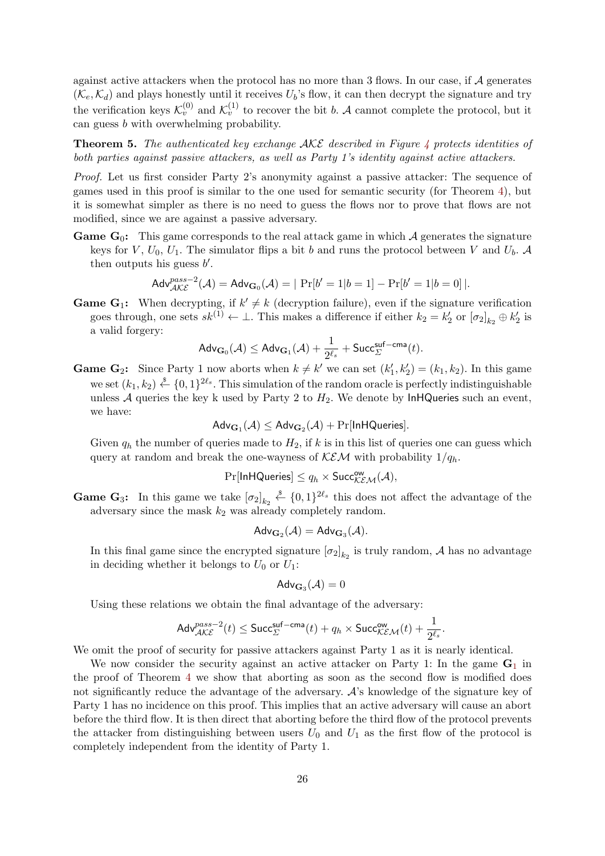against active attackers when the protocol has no more than 3 flows. In our case, if A generates  $(\mathcal{K}_e, \mathcal{K}_d)$  and plays honestly until it receives  $U_b$ 's flow, it can then decrypt the signature and try the verification keys  $\mathcal{K}_v^{(0)}$  and  $\mathcal{K}_v^{(1)}$  to recover the bit b. A cannot complete the protocol, but it can guess  $b$  with overwhelming probability.

**Theorem 5.** The authenticated key exchange  $\mathcal{AKE}$  described in Figure 4 protects identities of both parties against passive attackers, as well as Party 1's identity against active attackers.

Proof. Let us first consider Party 2's anonymity against a passive attacker: The sequence of games used in this proof is similar to the one used for semantic security (for Theorem 4), but it is somewhat simpler as there is no need to guess the flows nor to prove that flows are not modified, since we are against a passive adversary.

**Game G<sub>0</sub>:** This game corresponds to the real attack game in which  $\mathcal{A}$  generates the signature keys for V,  $U_0$ ,  $U_1$ . The simulator flips a bit b and runs the protocol between V and  $U_b$ . A then outputs his guess  $b'$ .

$$
\mathsf{Adv}_{\mathcal{AKE}}^{pass-2}(\mathcal{A}) = \mathsf{Adv}_{\mathbf{G}_0}(\mathcal{A}) = |\Pr[b'=1|b=1] - \Pr[b'=1|b=0]|.
$$

**Game G<sub>1</sub>:** When decrypting, if  $k' \neq k$  (decryption failure), even if the signature verification goes through, one sets  $sk^{(1)} \leftarrow \perp$ . This makes a difference if either  $k_2 = k'_2$  or  $[\sigma_2]_{k_2} \oplus k'_2$  is a valid forgery:

$$
\mathsf{Adv}_{\mathbf{G}_0}(\mathcal{A}) \leq \mathsf{Adv}_{\mathbf{G}_1}(\mathcal{A}) + \frac{1}{2^{\ell_s}} + \mathsf{Succ}^{\mathsf{suf-cma}}_{\varSigma}(t).
$$

**Game G<sub>2</sub>:** Since Party 1 now aborts when  $k \neq k'$  we can set  $(k'_1, k'_2) = (k_1, k_2)$ . In this game we set  $(k_1, k_2) \stackrel{\$}{\leftarrow} \{0, 1\}^{2\ell_s}$ . This simulation of the random oracle is perfectly indistinguishable unless A queries the key k used by Party 2 to  $H_2$ . We denote by InHQueries such an event, we have:

 $\mathsf{Adv}_{\mathbf{G}_1}(\mathcal{A}) \leq \mathsf{Adv}_{\mathbf{G}_2}(\mathcal{A}) + \Pr[\mathsf{InHQ}$ ueries $].$ 

Given  $q_h$  the number of queries made to  $H_2$ , if k is in this list of queries one can guess which query at random and break the one-wayness of  $KEM$  with probability  $1/q_h$ .

$$
\Pr[\mathsf{InHQueries}] \le q_h \times \mathsf{Succ}_{\mathcal{KEM}}^{\mathsf{ow}}(\mathcal{A}),
$$

**Game G<sub>3</sub>:** In this game we take  $[\sigma_2]_{k_2} \stackrel{\$}{\leftarrow} \{0,1\}^{2\ell_s}$  this does not affect the advantage of the adversary since the mask  $k_2$  was already completely random.

$$
\mathsf{Adv}_{\mathbf{G}_2}(\mathcal{A}) = \mathsf{Adv}_{\mathbf{G}_3}(\mathcal{A}).
$$

In this final game since the encrypted signature  $[\sigma_2]_{k_2}$  is truly random,  ${\cal A}$  has no advantage in deciding whether it belongs to  $U_0$  or  $U_1$ :

$$
\mathsf{Adv}_{\mathbf{G}_3}(\mathcal{A}) = 0
$$

Using these relations we obtain the final advantage of the adversary:

$$
\mathsf{Adv}_{\mathcal{AKE}}^{\mathit{pass-2}}(t) \leq \mathsf{Succ}_{\varSigma}^{\mathit{suf-cma}}(t) + q_h \times \mathsf{Succ}_{\mathcal{KEM}}^{\mathit{ow}}(t) + \frac{1}{2^{\ell_s}}.
$$

We omit the proof of security for passive attackers against Party 1 as it is nearly identical.

We now consider the security against an active attacker on Party 1: In the game  $\mathbf{G}_1$  in the proof of Theorem 4 we show that aborting as soon as the second flow is modified does not significantly reduce the advantage of the adversary. A's knowledge of the signature key of Party 1 has no incidence on this proof. This implies that an active adversary will cause an abort before the third flow. It is then direct that aborting before the third flow of the protocol prevents the attacker from distinguishing between users  $U_0$  and  $U_1$  as the first flow of the protocol is completely independent from the identity of Party 1.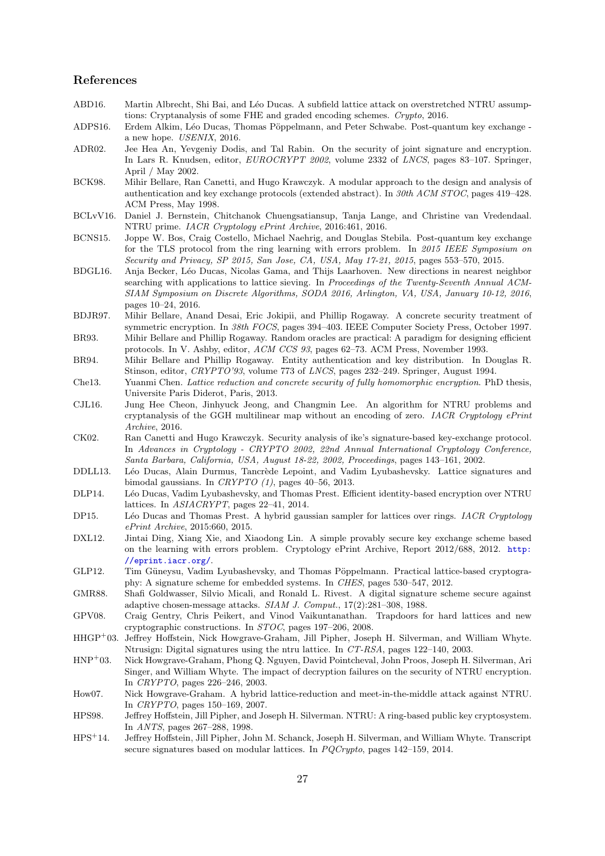### References

- ABD16. Martin Albrecht, Shi Bai, and Léo Ducas. A subfield lattice attack on overstretched NTRU assumptions: Cryptanalysis of some FHE and graded encoding schemes. Crypto, 2016.
- ADPS16. Erdem Alkim, Léo Ducas, Thomas Pöppelmann, and Peter Schwabe. Post-quantum key exchange a new hope. USENIX, 2016.
- ADR02. Jee Hea An, Yevgeniy Dodis, and Tal Rabin. On the security of joint signature and encryption. In Lars R. Knudsen, editor, EUROCRYPT 2002, volume 2332 of LNCS, pages 83–107. Springer, April / May 2002.
- BCK98. Mihir Bellare, Ran Canetti, and Hugo Krawczyk. A modular approach to the design and analysis of authentication and key exchange protocols (extended abstract). In 30th ACM STOC, pages 419–428. ACM Press, May 1998.
- BCLvV16. Daniel J. Bernstein, Chitchanok Chuengsatiansup, Tanja Lange, and Christine van Vredendaal. NTRU prime. IACR Cryptology ePrint Archive, 2016:461, 2016.
- BCNS15. Joppe W. Bos, Craig Costello, Michael Naehrig, and Douglas Stebila. Post-quantum key exchange for the TLS protocol from the ring learning with errors problem. In 2015 IEEE Symposium on Security and Privacy, SP 2015, San Jose, CA, USA, May 17-21, 2015, pages 553–570, 2015.
- BDGL16. Anja Becker, L´eo Ducas, Nicolas Gama, and Thijs Laarhoven. New directions in nearest neighbor searching with applications to lattice sieving. In Proceedings of the Twenty-Seventh Annual ACM-SIAM Symposium on Discrete Algorithms, SODA 2016, Arlington, VA, USA, January 10-12, 2016, pages 10–24, 2016.
- BDJR97. Mihir Bellare, Anand Desai, Eric Jokipii, and Phillip Rogaway. A concrete security treatment of symmetric encryption. In 38th FOCS, pages 394-403. IEEE Computer Society Press, October 1997. BR93. Mihir Bellare and Phillip Rogaway. Random oracles are practical: A paradigm for designing efficient protocols. In V. Ashby, editor, ACM CCS 93, pages 62–73. ACM Press, November 1993.
- BR94. Mihir Bellare and Phillip Rogaway. Entity authentication and key distribution. In Douglas R. Stinson, editor, CRYPTO'93, volume 773 of LNCS, pages 232–249. Springer, August 1994.
- Che13. Yuanmi Chen. Lattice reduction and concrete security of fully homomorphic encryption. PhD thesis, Universite Paris Diderot, Paris, 2013.
- CJL16. Jung Hee Cheon, Jinhyuck Jeong, and Changmin Lee. An algorithm for NTRU problems and cryptanalysis of the GGH multilinear map without an encoding of zero. IACR Cryptology ePrint Archive, 2016.
- CK02. Ran Canetti and Hugo Krawczyk. Security analysis of ike's signature-based key-exchange protocol. In Advances in Cryptology - CRYPTO 2002, 22nd Annual International Cryptology Conference, Santa Barbara, California, USA, August 18-22, 2002, Proceedings, pages 143–161, 2002.
- DDLL13. Léo Ducas, Alain Durmus, Tancrède Lepoint, and Vadim Lyubashevsky. Lattice signatures and bimodal gaussians. In CRYPTO (1), pages 40–56, 2013.
- DLP14. Léo Ducas, Vadim Lyubashevsky, and Thomas Prest. Efficient identity-based encryption over NTRU lattices. In ASIACRYPT, pages 22–41, 2014.
- DP15. Léo Ducas and Thomas Prest. A hybrid gaussian sampler for lattices over rings. IACR Cryptology ePrint Archive, 2015:660, 2015.
- DXL12. Jintai Ding, Xiang Xie, and Xiaodong Lin. A simple provably secure key exchange scheme based on the learning with errors problem. Cryptology ePrint Archive, Report 2012/688, 2012. [http:](http://eprint.iacr.org/) [//eprint.iacr.org/](http://eprint.iacr.org/).
- GLP12. Tim Güneysu, Vadim Lyubashevsky, and Thomas Pöppelmann. Practical lattice-based cryptography: A signature scheme for embedded systems. In CHES, pages 530–547, 2012.
- GMR88. Shafi Goldwasser, Silvio Micali, and Ronald L. Rivest. A digital signature scheme secure against adaptive chosen-message attacks. SIAM J. Comput., 17(2):281–308, 1988.
- GPV08. Craig Gentry, Chris Peikert, and Vinod Vaikuntanathan. Trapdoors for hard lattices and new cryptographic constructions. In STOC, pages 197–206, 2008.
- HHGP<sup>+</sup>03. Jeffrey Hoffstein, Nick Howgrave-Graham, Jill Pipher, Joseph H. Silverman, and William Whyte. Ntrusign: Digital signatures using the ntru lattice. In CT-RSA, pages 122–140, 2003.
- HNP<sup>+</sup>03. Nick Howgrave-Graham, Phong Q. Nguyen, David Pointcheval, John Proos, Joseph H. Silverman, Ari Singer, and William Whyte. The impact of decryption failures on the security of NTRU encryption. In CRYPTO, pages 226–246, 2003.
- How07. Nick Howgrave-Graham. A hybrid lattice-reduction and meet-in-the-middle attack against NTRU. In CRYPTO, pages 150–169, 2007.
- HPS98. Jeffrey Hoffstein, Jill Pipher, and Joseph H. Silverman. NTRU: A ring-based public key cryptosystem. In ANTS, pages 267–288, 1998.
- HPS<sup>+</sup>14. Jeffrey Hoffstein, Jill Pipher, John M. Schanck, Joseph H. Silverman, and William Whyte. Transcript secure signatures based on modular lattices. In PQCrypto, pages 142–159, 2014.